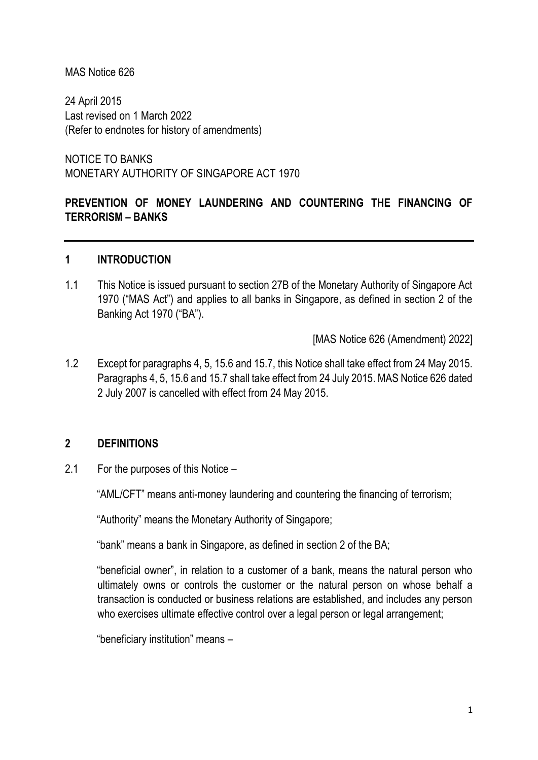### MAS Notice 626

24 April 2015 Last revised on 1 March 2022 (Refer to endnotes for history of amendments)

NOTICE TO BANKS MONETARY AUTHORITY OF SINGAPORE ACT 1970

# **PREVENTION OF MONEY LAUNDERING AND COUNTERING THE FINANCING OF TERRORISM – BANKS**

### **1 INTRODUCTION**

1.1 This Notice is issued pursuant to section 27B of the Monetary Authority of Singapore Act 1970 ("MAS Act") and applies to all banks in Singapore, as defined in section 2 of the Banking Act 1970 ("BA").

[MAS Notice 626 (Amendment) 2022]

1.2 Except for paragraphs 4, 5, 15.6 and 15.7, this Notice shall take effect from 24 May 2015. Paragraphs 4, 5, 15.6 and 15.7 shall take effect from 24 July 2015. MAS Notice 626 dated 2 July 2007 is cancelled with effect from 24 May 2015.

### **2 DEFINITIONS**

2.1 For the purposes of this Notice –

"AML/CFT" means anti-money laundering and countering the financing of terrorism;

"Authority" means the Monetary Authority of Singapore;

"bank" means a bank in Singapore, as defined in section 2 of the BA;

"beneficial owner", in relation to a customer of a bank, means the natural person who ultimately owns or controls the customer or the natural person on whose behalf a transaction is conducted or business relations are established, and includes any person who exercises ultimate effective control over a legal person or legal arrangement;

"beneficiary institution" means –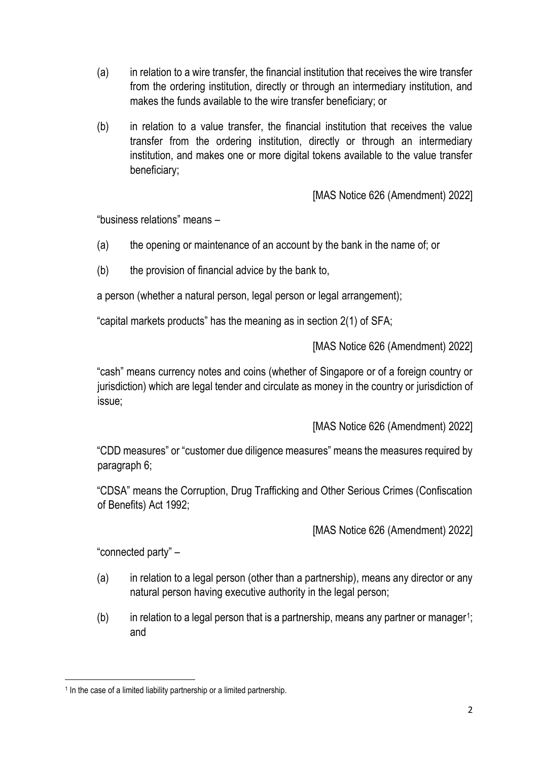- (a) in relation to a wire transfer, the financial institution that receives the wire transfer from the ordering institution, directly or through an intermediary institution, and makes the funds available to the wire transfer beneficiary; or
- (b) in relation to a value transfer, the financial institution that receives the value transfer from the ordering institution, directly or through an intermediary institution, and makes one or more digital tokens available to the value transfer beneficiary;

[MAS Notice 626 (Amendment) 2022]

"business relations" means –

- (a) the opening or maintenance of an account by the bank in the name of; or
- (b) the provision of financial advice by the bank to,

a person (whether a natural person, legal person or legal arrangement);

"capital markets products" has the meaning as in section 2(1) of SFA;

[MAS Notice 626 (Amendment) 2022]

"cash" means currency notes and coins (whether of Singapore or of a foreign country or jurisdiction) which are legal tender and circulate as money in the country or jurisdiction of issue;

[MAS Notice 626 (Amendment) 2022]

"CDD measures" or "customer due diligence measures" means the measures required by paragraph 6;

"CDSA" means the Corruption, Drug Trafficking and Other Serious Crimes (Confiscation of Benefits) Act 1992;

[MAS Notice 626 (Amendment) 2022]

"connected party" –

- (a) in relation to a legal person (other than a partnership), means any director or any natural person having executive authority in the legal person;
- $(b)$  in relation to a legal person that is a partnership, means any partner or manager<sup>1</sup>; and

<sup>&</sup>lt;sup>1</sup> In the case of a limited liability partnership or a limited partnership.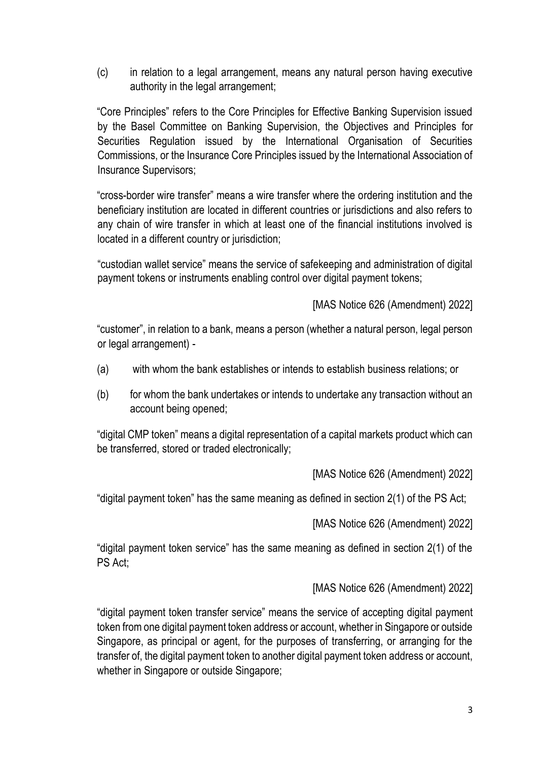(c) in relation to a legal arrangement, means any natural person having executive authority in the legal arrangement;

"Core Principles" refers to the Core Principles for Effective Banking Supervision issued by the Basel Committee on Banking Supervision, the Objectives and Principles for Securities Regulation issued by the International Organisation of Securities Commissions, or the Insurance Core Principles issued by the International Association of Insurance Supervisors;

"cross-border wire transfer" means a wire transfer where the ordering institution and the beneficiary institution are located in different countries or jurisdictions and also refers to any chain of wire transfer in which at least one of the financial institutions involved is located in a different country or jurisdiction;

"custodian wallet service" means the service of safekeeping and administration of digital payment tokens or instruments enabling control over digital payment tokens;

[MAS Notice 626 (Amendment) 2022]

"customer", in relation to a bank, means a person (whether a natural person, legal person or legal arrangement) -

- (a) with whom the bank establishes or intends to establish business relations; or
- (b) for whom the bank undertakes or intends to undertake any transaction without an account being opened;

"digital CMP token" means a digital representation of a capital markets product which can be transferred, stored or traded electronically;

[MAS Notice 626 (Amendment) 2022]

"digital payment token" has the same meaning as defined in section 2(1) of the PS Act;

[MAS Notice 626 (Amendment) 2022]

"digital payment token service" has the same meaning as defined in section 2(1) of the PS Act;

[MAS Notice 626 (Amendment) 2022]

"digital payment token transfer service" means the service of accepting digital payment token from one digital payment token address or account, whether in Singapore or outside Singapore, as principal or agent, for the purposes of transferring, or arranging for the transfer of, the digital payment token to another digital payment token address or account, whether in Singapore or outside Singapore;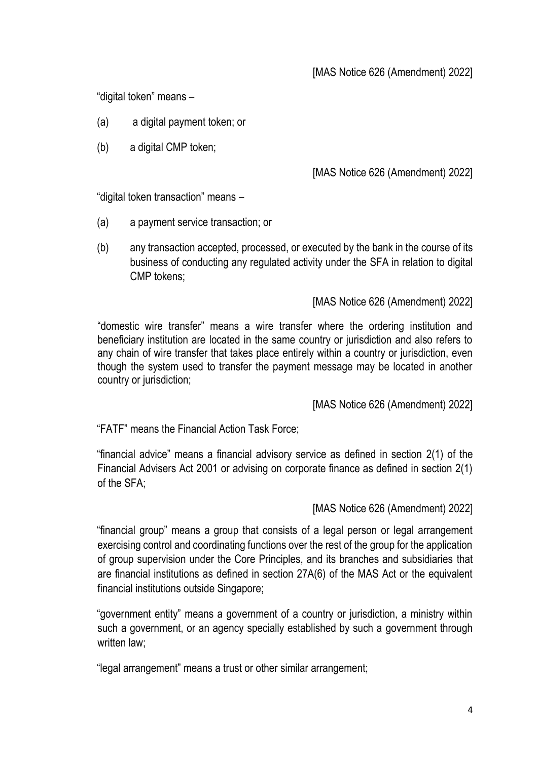"digital token" means –

- (a) a digital payment token; or
- (b) a digital CMP token:

# [MAS Notice 626 (Amendment) 2022]

"digital token transaction" means –

- (a) a payment service transaction; or
- (b) any transaction accepted, processed, or executed by the bank in the course of its business of conducting any regulated activity under the SFA in relation to digital CMP tokens;

#### [MAS Notice 626 (Amendment) 2022]

"domestic wire transfer" means a wire transfer where the ordering institution and beneficiary institution are located in the same country or jurisdiction and also refers to any chain of wire transfer that takes place entirely within a country or jurisdiction, even though the system used to transfer the payment message may be located in another country or jurisdiction;

[MAS Notice 626 (Amendment) 2022]

"FATF" means the Financial Action Task Force;

"financial advice" means a financial advisory service as defined in section 2(1) of the Financial Advisers Act 2001 or advising on corporate finance as defined in section 2(1) of the SFA;

### [MAS Notice 626 (Amendment) 2022]

"financial group" means a group that consists of a legal person or legal arrangement exercising control and coordinating functions over the rest of the group for the application of group supervision under the Core Principles, and its branches and subsidiaries that are financial institutions as defined in section 27A(6) of the MAS Act or the equivalent financial institutions outside Singapore;

"government entity" means a government of a country or jurisdiction, a ministry within such a government, or an agency specially established by such a government through written law;

"legal arrangement" means a trust or other similar arrangement;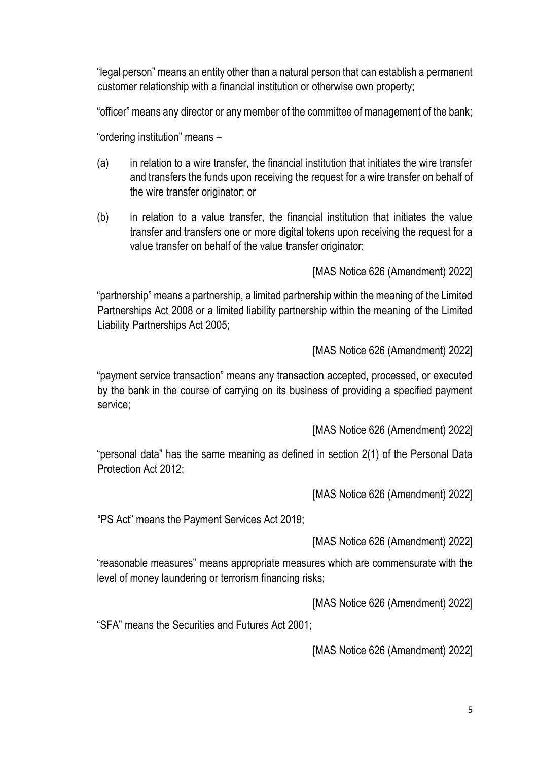"legal person" means an entity other than a natural person that can establish a permanent customer relationship with a financial institution or otherwise own property;

"officer" means any director or any member of the committee of management of the bank;

"ordering institution" means –

- (a) in relation to a wire transfer, the financial institution that initiates the wire transfer and transfers the funds upon receiving the request for a wire transfer on behalf of the wire transfer originator; or
- (b) in relation to a value transfer, the financial institution that initiates the value transfer and transfers one or more digital tokens upon receiving the request for a value transfer on behalf of the value transfer originator;

[MAS Notice 626 (Amendment) 2022]

"partnership" means a partnership, a limited partnership within the meaning of the Limited Partnerships Act 2008 or a limited liability partnership within the meaning of the Limited Liability Partnerships Act 2005;

[MAS Notice 626 (Amendment) 2022]

"payment service transaction" means any transaction accepted, processed, or executed by the bank in the course of carrying on its business of providing a specified payment service;

[MAS Notice 626 (Amendment) 2022]

"personal data" has the same meaning as defined in section 2(1) of the Personal Data Protection Act 2012;

[MAS Notice 626 (Amendment) 2022]

"PS Act" means the Payment Services Act 2019;

[MAS Notice 626 (Amendment) 2022]

"reasonable measures" means appropriate measures which are commensurate with the level of money laundering or terrorism financing risks;

[MAS Notice 626 (Amendment) 2022]

"SFA" means the Securities and Futures Act 2001;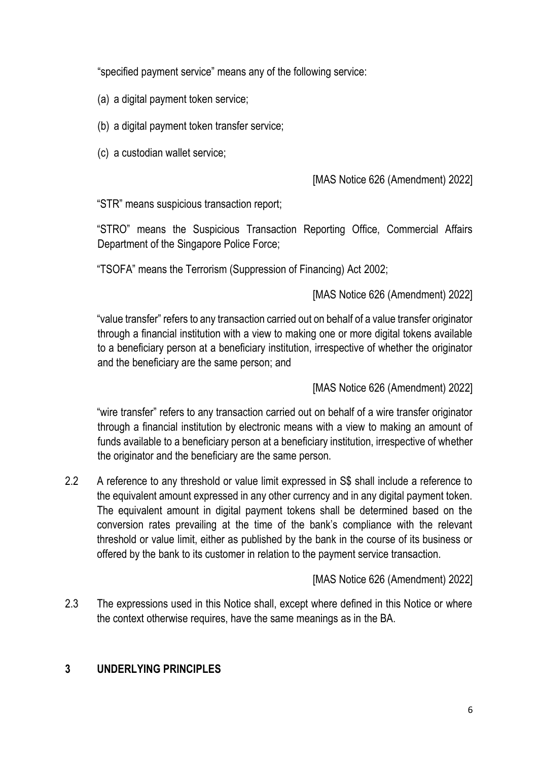"specified payment service" means any of the following service:

- (a) a digital payment token service;
- (b) a digital payment token transfer service;
- (c) a custodian wallet service;

### [MAS Notice 626 (Amendment) 2022]

"STR" means suspicious transaction report;

"STRO" means the Suspicious Transaction Reporting Office, Commercial Affairs Department of the Singapore Police Force;

"TSOFA" means the Terrorism (Suppression of Financing) Act 2002;

## [MAS Notice 626 (Amendment) 2022]

"value transfer" refers to any transaction carried out on behalf of a value transfer originator through a financial institution with a view to making one or more digital tokens available to a beneficiary person at a beneficiary institution, irrespective of whether the originator and the beneficiary are the same person; and

[MAS Notice 626 (Amendment) 2022]

"wire transfer" refers to any transaction carried out on behalf of a wire transfer originator through a financial institution by electronic means with a view to making an amount of funds available to a beneficiary person at a beneficiary institution, irrespective of whether the originator and the beneficiary are the same person.

2.2 A reference to any threshold or value limit expressed in S\$ shall include a reference to the equivalent amount expressed in any other currency and in any digital payment token. The equivalent amount in digital payment tokens shall be determined based on the conversion rates prevailing at the time of the bank's compliance with the relevant threshold or value limit, either as published by the bank in the course of its business or offered by the bank to its customer in relation to the payment service transaction.

# [MAS Notice 626 (Amendment) 2022]

2.3 The expressions used in this Notice shall, except where defined in this Notice or where the context otherwise requires, have the same meanings as in the BA.

# **3 UNDERLYING PRINCIPLES**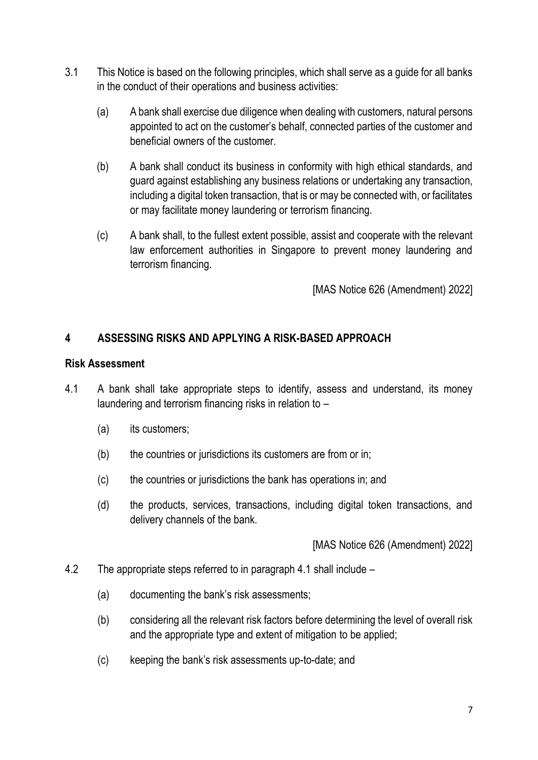- 3.1 This Notice is based on the following principles, which shall serve as a guide for all banks in the conduct of their operations and business activities:
	- (a) A bank shall exercise due diligence when dealing with customers, natural persons appointed to act on the customer's behalf, connected parties of the customer and beneficial owners of the customer.
	- (b) A bank shall conduct its business in conformity with high ethical standards, and guard against establishing any business relations or undertaking any transaction, including a digital token transaction, that is or may be connected with, or facilitates or may facilitate money laundering or terrorism financing.
	- (c) A bank shall, to the fullest extent possible, assist and cooperate with the relevant law enforcement authorities in Singapore to prevent money laundering and terrorism financing.

[MAS Notice 626 (Amendment) 2022]

# **4 ASSESSING RISKS AND APPLYING A RISK-BASED APPROACH**

### **Risk Assessment**

- 4.1 A bank shall take appropriate steps to identify, assess and understand, its money laundering and terrorism financing risks in relation to –
	- (a) its customers;
	- (b) the countries or jurisdictions its customers are from or in;
	- (c) the countries or jurisdictions the bank has operations in; and
	- (d) the products, services, transactions, including digital token transactions, and delivery channels of the bank.

- 4.2 The appropriate steps referred to in paragraph 4.1 shall include
	- (a) documenting the bank's risk assessments;
	- (b) considering all the relevant risk factors before determining the level of overall risk and the appropriate type and extent of mitigation to be applied;
	- (c) keeping the bank's risk assessments up-to-date; and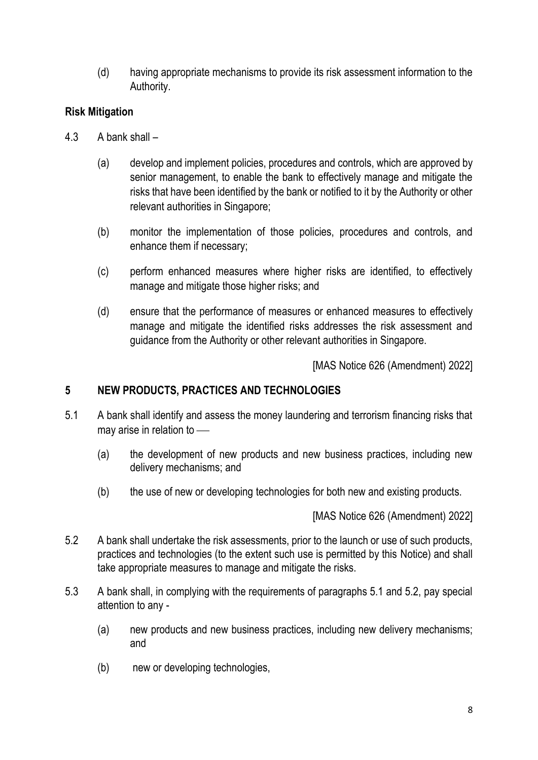(d) having appropriate mechanisms to provide its risk assessment information to the Authority.

# **Risk Mitigation**

- 4.3 A bank shall
	- (a) develop and implement policies, procedures and controls, which are approved by senior management, to enable the bank to effectively manage and mitigate the risks that have been identified by the bank or notified to it by the Authority or other relevant authorities in Singapore;
	- (b) monitor the implementation of those policies, procedures and controls, and enhance them if necessary;
	- (c) perform enhanced measures where higher risks are identified, to effectively manage and mitigate those higher risks; and
	- (d) ensure that the performance of measures or enhanced measures to effectively manage and mitigate the identified risks addresses the risk assessment and guidance from the Authority or other relevant authorities in Singapore.

[MAS Notice 626 (Amendment) 2022]

# **5 NEW PRODUCTS, PRACTICES AND TECHNOLOGIES**

- 5.1 A bank shall identify and assess the money laundering and terrorism financing risks that may arise in relation to  $-$ 
	- (a) the development of new products and new business practices, including new delivery mechanisms; and
	- (b) the use of new or developing technologies for both new and existing products.

- 5.2 A bank shall undertake the risk assessments, prior to the launch or use of such products, practices and technologies (to the extent such use is permitted by this Notice) and shall take appropriate measures to manage and mitigate the risks.
- 5.3 A bank shall, in complying with the requirements of paragraphs 5.1 and 5.2, pay special attention to any -
	- (a) new products and new business practices, including new delivery mechanisms; and
	- (b) new or developing technologies,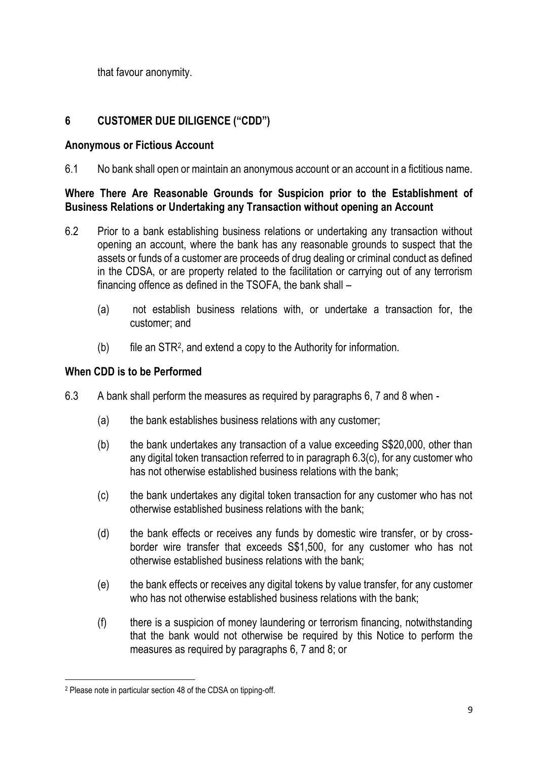that favour anonymity.

# **6 CUSTOMER DUE DILIGENCE ("CDD")**

### **Anonymous or Fictious Account**

6.1 No bank shall open or maintain an anonymous account or an account in a fictitious name.

# **Where There Are Reasonable Grounds for Suspicion prior to the Establishment of Business Relations or Undertaking any Transaction without opening an Account**

- 6.2 Prior to a bank establishing business relations or undertaking any transaction without opening an account, where the bank has any reasonable grounds to suspect that the assets or funds of a customer are proceeds of drug dealing or criminal conduct as defined in the CDSA, or are property related to the facilitation or carrying out of any terrorism financing offence as defined in the TSOFA, the bank shall –
	- (a) not establish business relations with, or undertake a transaction for, the customer; and
	- (b) file an STR<sup>2</sup> , and extend a copy to the Authority for information.

## **When CDD is to be Performed**

- 6.3 A bank shall perform the measures as required by paragraphs 6, 7 and 8 when
	- (a) the bank establishes business relations with any customer;
	- (b) the bank undertakes any transaction of a value exceeding S\$20,000, other than any digital token transaction referred to in paragraph 6.3(c), for any customer who has not otherwise established business relations with the bank;
	- (c) the bank undertakes any digital token transaction for any customer who has not otherwise established business relations with the bank;
	- (d) the bank effects or receives any funds by domestic wire transfer, or by crossborder wire transfer that exceeds S\$1,500, for any customer who has not otherwise established business relations with the bank;
	- (e) the bank effects or receives any digital tokens by value transfer, for any customer who has not otherwise established business relations with the bank;
	- (f) there is a suspicion of money laundering or terrorism financing, notwithstanding that the bank would not otherwise be required by this Notice to perform the measures as required by paragraphs 6, 7 and 8; or

<sup>2</sup> Please note in particular section 48 of the CDSA on tipping-off.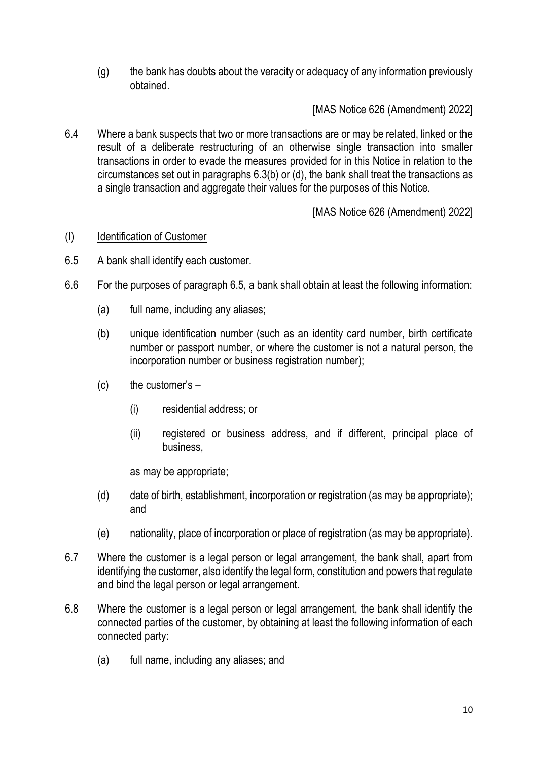(g) the bank has doubts about the veracity or adequacy of any information previously obtained.

[MAS Notice 626 (Amendment) 2022]

6.4 Where a bank suspects that two or more transactions are or may be related, linked or the result of a deliberate restructuring of an otherwise single transaction into smaller transactions in order to evade the measures provided for in this Notice in relation to the circumstances set out in paragraphs 6.3(b) or (d), the bank shall treat the transactions as a single transaction and aggregate their values for the purposes of this Notice.

[MAS Notice 626 (Amendment) 2022]

#### (I) Identification of Customer

- 6.5 A bank shall identify each customer.
- 6.6 For the purposes of paragraph 6.5, a bank shall obtain at least the following information:
	- (a) full name, including any aliases;
	- (b) unique identification number (such as an identity card number, birth certificate number or passport number, or where the customer is not a natural person, the incorporation number or business registration number);
	- $(c)$  the customer's  $-$ 
		- (i) residential address; or
		- (ii) registered or business address, and if different, principal place of business,

as may be appropriate;

- (d) date of birth, establishment, incorporation or registration (as may be appropriate); and
- (e) nationality, place of incorporation or place of registration (as may be appropriate).
- 6.7 Where the customer is a legal person or legal arrangement, the bank shall, apart from identifying the customer, also identify the legal form, constitution and powers that regulate and bind the legal person or legal arrangement.
- 6.8 Where the customer is a legal person or legal arrangement, the bank shall identify the connected parties of the customer, by obtaining at least the following information of each connected party:
	- (a) full name, including any aliases; and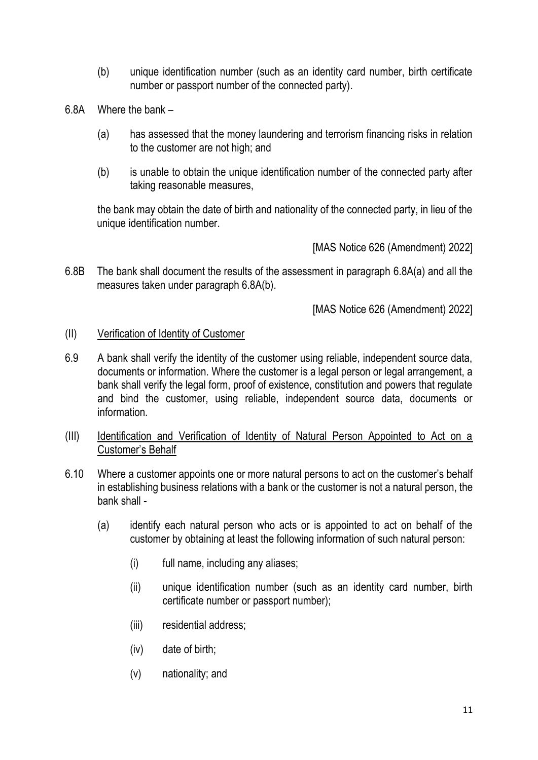- (b) unique identification number (such as an identity card number, birth certificate number or passport number of the connected party).
- 6.8A Where the bank
	- (a) has assessed that the money laundering and terrorism financing risks in relation to the customer are not high; and
	- (b) is unable to obtain the unique identification number of the connected party after taking reasonable measures,

the bank may obtain the date of birth and nationality of the connected party, in lieu of the unique identification number.

[MAS Notice 626 (Amendment) 2022]

6.8B The bank shall document the results of the assessment in paragraph 6.8A(a) and all the measures taken under paragraph 6.8A(b).

- (II) Verification of Identity of Customer
- 6.9 A bank shall verify the identity of the customer using reliable, independent source data, documents or information. Where the customer is a legal person or legal arrangement, a bank shall verify the legal form, proof of existence, constitution and powers that regulate and bind the customer, using reliable, independent source data, documents or information.
- (III) Identification and Verification of Identity of Natural Person Appointed to Act on a Customer's Behalf
- 6.10 Where a customer appoints one or more natural persons to act on the customer's behalf in establishing business relations with a bank or the customer is not a natural person, the bank shall -
	- (a) identify each natural person who acts or is appointed to act on behalf of the customer by obtaining at least the following information of such natural person:
		- (i) full name, including any aliases;
		- (ii) unique identification number (such as an identity card number, birth certificate number or passport number);
		- (iii) residential address;
		- (iv) date of birth;
		- (v) nationality; and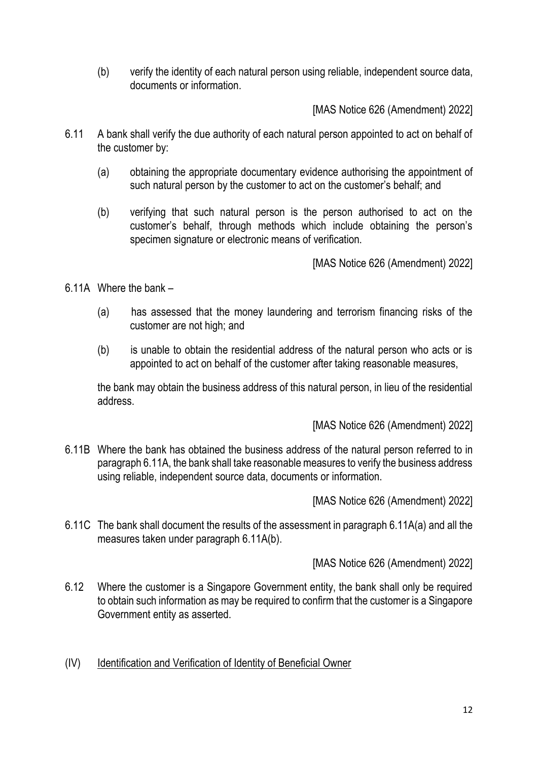(b) verify the identity of each natural person using reliable, independent source data, documents or information.

[MAS Notice 626 (Amendment) 2022]

- 6.11 A bank shall verify the due authority of each natural person appointed to act on behalf of the customer by:
	- (a) obtaining the appropriate documentary evidence authorising the appointment of such natural person by the customer to act on the customer's behalf; and
	- (b) verifying that such natural person is the person authorised to act on the customer's behalf, through methods which include obtaining the person's specimen signature or electronic means of verification.

[MAS Notice 626 (Amendment) 2022]

6.11A Where the bank –

- (a) has assessed that the money laundering and terrorism financing risks of the customer are not high; and
- (b) is unable to obtain the residential address of the natural person who acts or is appointed to act on behalf of the customer after taking reasonable measures,

the bank may obtain the business address of this natural person, in lieu of the residential address.

[MAS Notice 626 (Amendment) 2022]

6.11B Where the bank has obtained the business address of the natural person referred to in paragraph 6.11A, the bank shall take reasonable measures to verify the business address using reliable, independent source data, documents or information.

[MAS Notice 626 (Amendment) 2022]

6.11C The bank shall document the results of the assessment in paragraph 6.11A(a) and all the measures taken under paragraph 6.11A(b).

- 6.12 Where the customer is a Singapore Government entity, the bank shall only be required to obtain such information as may be required to confirm that the customer is a Singapore Government entity as asserted.
- (IV) Identification and Verification of Identity of Beneficial Owner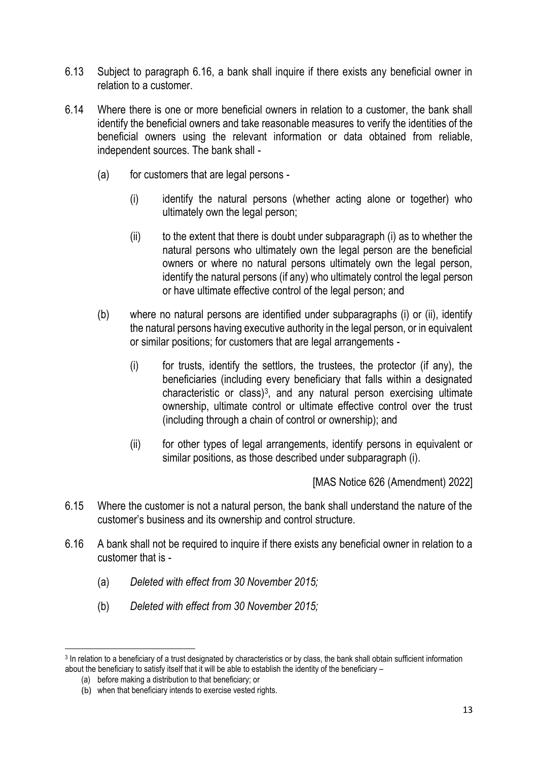- 6.13 Subject to paragraph 6.16, a bank shall inquire if there exists any beneficial owner in relation to a customer.
- 6.14 Where there is one or more beneficial owners in relation to a customer, the bank shall identify the beneficial owners and take reasonable measures to verify the identities of the beneficial owners using the relevant information or data obtained from reliable, independent sources. The bank shall -
	- (a) for customers that are legal persons
		- (i) identify the natural persons (whether acting alone or together) who ultimately own the legal person;
		- $(iii)$  to the extent that there is doubt under subparagraph  $(i)$  as to whether the natural persons who ultimately own the legal person are the beneficial owners or where no natural persons ultimately own the legal person, identify the natural persons (if any) who ultimately control the legal person or have ultimate effective control of the legal person; and
	- (b) where no natural persons are identified under subparagraphs (i) or (ii), identify the natural persons having executive authority in the legal person, or in equivalent or similar positions; for customers that are legal arrangements -
		- (i) for trusts, identify the settlors, the trustees, the protector (if any), the beneficiaries (including every beneficiary that falls within a designated characteristic or class) $3$ , and any natural person exercising ultimate ownership, ultimate control or ultimate effective control over the trust (including through a chain of control or ownership); and
		- (ii) for other types of legal arrangements, identify persons in equivalent or similar positions, as those described under subparagraph (i).

- 6.15 Where the customer is not a natural person, the bank shall understand the nature of the customer's business and its ownership and control structure.
- 6.16 A bank shall not be required to inquire if there exists any beneficial owner in relation to a customer that is -
	- (a) *Deleted with effect from 30 November 2015;*
	- (b) *Deleted with effect from 30 November 2015;*

<sup>&</sup>lt;sup>3</sup> In relation to a beneficiary of a trust designated by characteristics or by class, the bank shall obtain sufficient information about the beneficiary to satisfy itself that it will be able to establish the identity of the beneficiary –

<sup>(</sup>a) before making a distribution to that beneficiary; or

<sup>(</sup>b) when that beneficiary intends to exercise vested rights.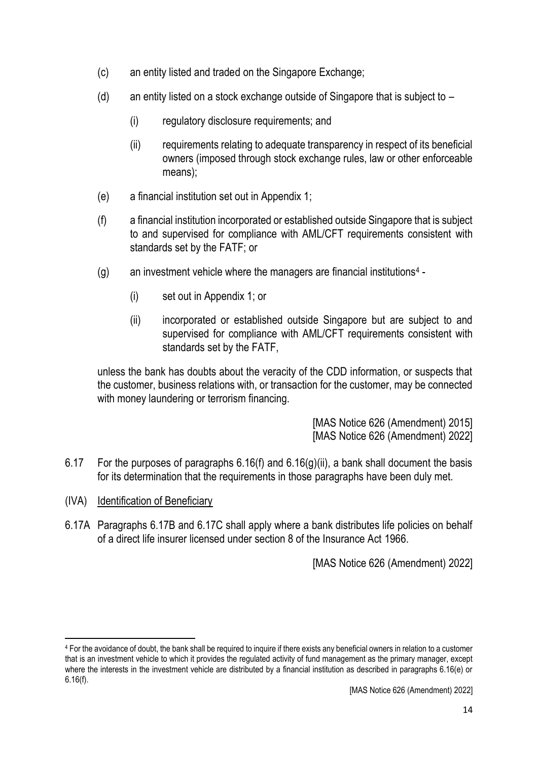- (c) an entity listed and traded on the Singapore Exchange;
- (d) an entity listed on a stock exchange outside of Singapore that is subject to  $-$ 
	- (i) regulatory disclosure requirements; and
	- (ii) requirements relating to adequate transparency in respect of its beneficial owners (imposed through stock exchange rules, law or other enforceable means);
- (e) a financial institution set out in Appendix 1;
- (f) a financial institution incorporated or established outside Singapore that is subject to and supervised for compliance with AML/CFT requirements consistent with standards set by the FATF; or
- (g) an investment vehicle where the managers are financial institutions<sup>4</sup>
	- (i) set out in Appendix 1; or
	- (ii) incorporated or established outside Singapore but are subject to and supervised for compliance with AML/CFT requirements consistent with standards set by the FATF,

unless the bank has doubts about the veracity of the CDD information, or suspects that the customer, business relations with, or transaction for the customer, may be connected with money laundering or terrorism financing.

> [MAS Notice 626 (Amendment) 2015] [MAS Notice 626 (Amendment) 2022]

- 6.17 For the purposes of paragraphs  $6.16(f)$  and  $6.16(g)(ii)$ , a bank shall document the basis for its determination that the requirements in those paragraphs have been duly met.
- (IVA) Identification of Beneficiary
- 6.17A Paragraphs 6.17B and 6.17C shall apply where a bank distributes life policies on behalf of a direct life insurer licensed under section 8 of the Insurance Act 1966.

<sup>4</sup> For the avoidance of doubt, the bank shall be required to inquire if there exists any beneficial owners in relation to a customer that is an investment vehicle to which it provides the regulated activity of fund management as the primary manager, except where the interests in the investment vehicle are distributed by a financial institution as described in paragraphs 6.16(e) or 6.16(f).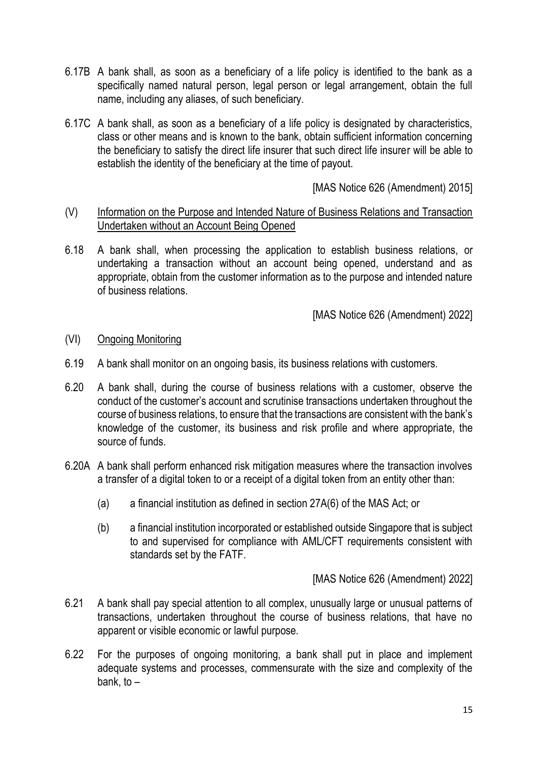- 6.17B A bank shall, as soon as a beneficiary of a life policy is identified to the bank as a specifically named natural person, legal person or legal arrangement, obtain the full name, including any aliases, of such beneficiary.
- 6.17C A bank shall, as soon as a beneficiary of a life policy is designated by characteristics, class or other means and is known to the bank, obtain sufficient information concerning the beneficiary to satisfy the direct life insurer that such direct life insurer will be able to establish the identity of the beneficiary at the time of payout.

[MAS Notice 626 (Amendment) 2015]

- (V) Information on the Purpose and Intended Nature of Business Relations and Transaction Undertaken without an Account Being Opened
- 6.18 A bank shall, when processing the application to establish business relations, or undertaking a transaction without an account being opened, understand and as appropriate, obtain from the customer information as to the purpose and intended nature of business relations.

[MAS Notice 626 (Amendment) 2022]

- (VI) Ongoing Monitoring
- 6.19 A bank shall monitor on an ongoing basis, its business relations with customers.
- 6.20 A bank shall, during the course of business relations with a customer, observe the conduct of the customer's account and scrutinise transactions undertaken throughout the course of business relations, to ensure that the transactions are consistent with the bank's knowledge of the customer, its business and risk profile and where appropriate, the source of funds.
- 6.20A A bank shall perform enhanced risk mitigation measures where the transaction involves a transfer of a digital token to or a receipt of a digital token from an entity other than:
	- (a) a financial institution as defined in section 27A(6) of the MAS Act; or
	- (b) a financial institution incorporated or established outside Singapore that is subject to and supervised for compliance with AML/CFT requirements consistent with standards set by the FATF.

- 6.21 A bank shall pay special attention to all complex, unusually large or unusual patterns of transactions, undertaken throughout the course of business relations, that have no apparent or visible economic or lawful purpose.
- 6.22 For the purposes of ongoing monitoring, a bank shall put in place and implement adequate systems and processes, commensurate with the size and complexity of the bank, to  $-$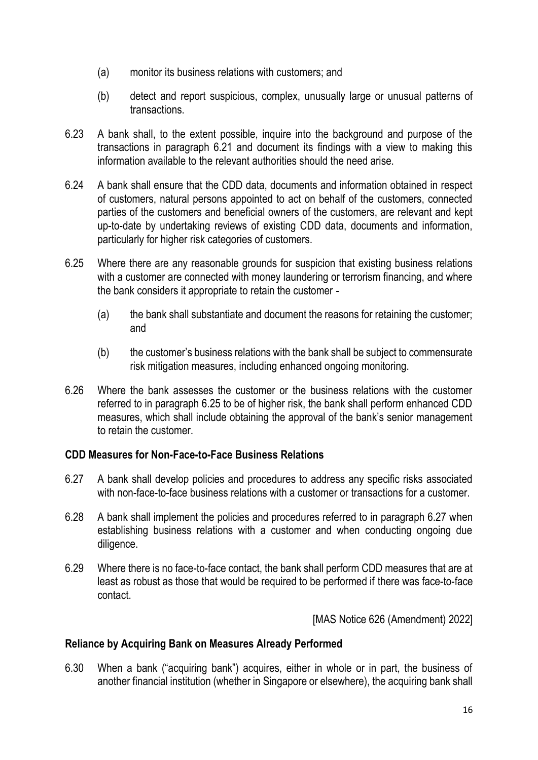- (a) monitor its business relations with customers; and
- (b) detect and report suspicious, complex, unusually large or unusual patterns of transactions.
- 6.23 A bank shall, to the extent possible, inquire into the background and purpose of the transactions in paragraph 6.21 and document its findings with a view to making this information available to the relevant authorities should the need arise.
- 6.24 A bank shall ensure that the CDD data, documents and information obtained in respect of customers, natural persons appointed to act on behalf of the customers, connected parties of the customers and beneficial owners of the customers, are relevant and kept up-to-date by undertaking reviews of existing CDD data, documents and information, particularly for higher risk categories of customers.
- 6.25 Where there are any reasonable grounds for suspicion that existing business relations with a customer are connected with money laundering or terrorism financing, and where the bank considers it appropriate to retain the customer -
	- (a) the bank shall substantiate and document the reasons for retaining the customer; and
	- (b) the customer's business relations with the bank shall be subject to commensurate risk mitigation measures, including enhanced ongoing monitoring.
- 6.26 Where the bank assesses the customer or the business relations with the customer referred to in paragraph 6.25 to be of higher risk, the bank shall perform enhanced CDD measures, which shall include obtaining the approval of the bank's senior management to retain the customer.

### **CDD Measures for Non-Face-to-Face Business Relations**

- 6.27 A bank shall develop policies and procedures to address any specific risks associated with non-face-to-face business relations with a customer or transactions for a customer.
- 6.28 A bank shall implement the policies and procedures referred to in paragraph 6.27 when establishing business relations with a customer and when conducting ongoing due diligence.
- 6.29 Where there is no face-to-face contact, the bank shall perform CDD measures that are at least as robust as those that would be required to be performed if there was face-to-face contact.

[MAS Notice 626 (Amendment) 2022]

### **Reliance by Acquiring Bank on Measures Already Performed**

6.30 When a bank ("acquiring bank") acquires, either in whole or in part, the business of another financial institution (whether in Singapore or elsewhere), the acquiring bank shall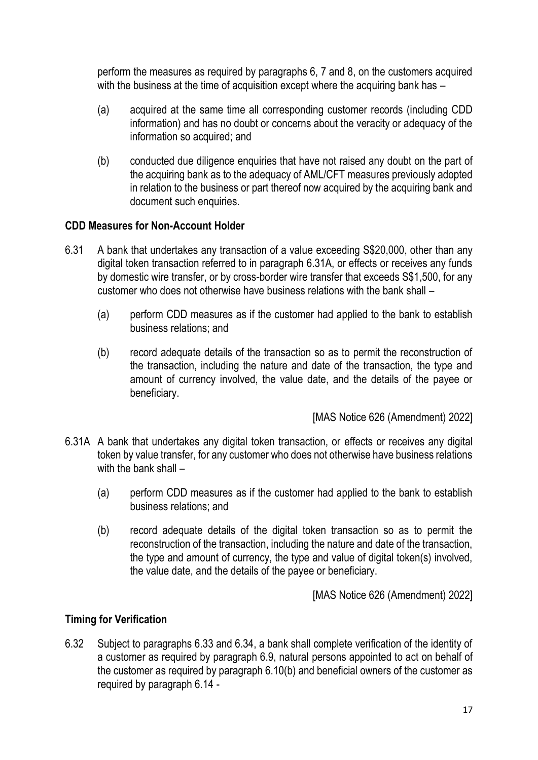perform the measures as required by paragraphs 6, 7 and 8, on the customers acquired with the business at the time of acquisition except where the acquiring bank has –

- (a) acquired at the same time all corresponding customer records (including CDD information) and has no doubt or concerns about the veracity or adequacy of the information so acquired; and
- (b) conducted due diligence enquiries that have not raised any doubt on the part of the acquiring bank as to the adequacy of AML/CFT measures previously adopted in relation to the business or part thereof now acquired by the acquiring bank and document such enquiries.

## **CDD Measures for Non-Account Holder**

- 6.31 A bank that undertakes any transaction of a value exceeding S\$20,000, other than any digital token transaction referred to in paragraph 6.31A, or effects or receives any funds by domestic wire transfer, or by cross-border wire transfer that exceeds S\$1,500, for any customer who does not otherwise have business relations with the bank shall –
	- (a) perform CDD measures as if the customer had applied to the bank to establish business relations; and
	- (b) record adequate details of the transaction so as to permit the reconstruction of the transaction, including the nature and date of the transaction, the type and amount of currency involved, the value date, and the details of the payee or beneficiary.

[MAS Notice 626 (Amendment) 2022]

- 6.31A A bank that undertakes any digital token transaction, or effects or receives any digital token by value transfer, for any customer who does not otherwise have business relations with the bank shall -
	- (a) perform CDD measures as if the customer had applied to the bank to establish business relations; and
	- (b) record adequate details of the digital token transaction so as to permit the reconstruction of the transaction, including the nature and date of the transaction, the type and amount of currency, the type and value of digital token(s) involved, the value date, and the details of the payee or beneficiary.

[MAS Notice 626 (Amendment) 2022]

# **Timing for Verification**

6.32 Subject to paragraphs 6.33 and 6.34, a bank shall complete verification of the identity of a customer as required by paragraph 6.9, natural persons appointed to act on behalf of the customer as required by paragraph 6.10(b) and beneficial owners of the customer as required by paragraph 6.14 -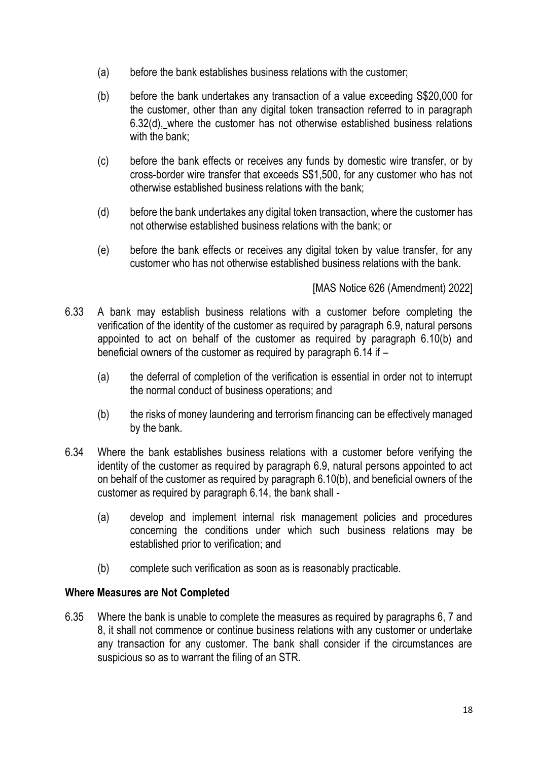- (a) before the bank establishes business relations with the customer;
- (b) before the bank undertakes any transaction of a value exceeding S\$20,000 for the customer, other than any digital token transaction referred to in paragraph 6.32(d), where the customer has not otherwise established business relations with the bank;
- (c) before the bank effects or receives any funds by domestic wire transfer, or by cross-border wire transfer that exceeds S\$1,500, for any customer who has not otherwise established business relations with the bank;
- (d) before the bank undertakes any digital token transaction, where the customer has not otherwise established business relations with the bank; or
- (e) before the bank effects or receives any digital token by value transfer, for any customer who has not otherwise established business relations with the bank.

## [MAS Notice 626 (Amendment) 2022]

- 6.33 A bank may establish business relations with a customer before completing the verification of the identity of the customer as required by paragraph 6.9, natural persons appointed to act on behalf of the customer as required by paragraph 6.10(b) and beneficial owners of the customer as required by paragraph 6.14 if –
	- (a) the deferral of completion of the verification is essential in order not to interrupt the normal conduct of business operations; and
	- (b) the risks of money laundering and terrorism financing can be effectively managed by the bank.
- 6.34 Where the bank establishes business relations with a customer before verifying the identity of the customer as required by paragraph 6.9, natural persons appointed to act on behalf of the customer as required by paragraph 6.10(b), and beneficial owners of the customer as required by paragraph 6.14, the bank shall -
	- (a) develop and implement internal risk management policies and procedures concerning the conditions under which such business relations may be established prior to verification; and
	- (b) complete such verification as soon as is reasonably practicable.

### **Where Measures are Not Completed**

6.35 Where the bank is unable to complete the measures as required by paragraphs 6, 7 and 8, it shall not commence or continue business relations with any customer or undertake any transaction for any customer. The bank shall consider if the circumstances are suspicious so as to warrant the filing of an STR.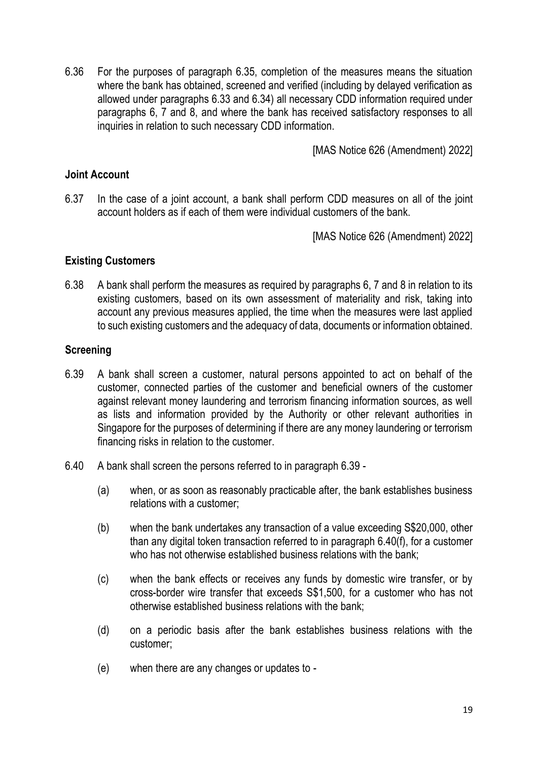6.36 For the purposes of paragraph 6.35, completion of the measures means the situation where the bank has obtained, screened and verified (including by delayed verification as allowed under paragraphs 6.33 and 6.34) all necessary CDD information required under paragraphs 6, 7 and 8, and where the bank has received satisfactory responses to all inquiries in relation to such necessary CDD information.

[MAS Notice 626 (Amendment) 2022]

#### **Joint Account**

6.37 In the case of a joint account, a bank shall perform CDD measures on all of the joint account holders as if each of them were individual customers of the bank.

[MAS Notice 626 (Amendment) 2022]

#### **Existing Customers**

6.38 A bank shall perform the measures as required by paragraphs 6, 7 and 8 in relation to its existing customers, based on its own assessment of materiality and risk, taking into account any previous measures applied, the time when the measures were last applied to such existing customers and the adequacy of data, documents or information obtained.

### **Screening**

- 6.39 A bank shall screen a customer, natural persons appointed to act on behalf of the customer, connected parties of the customer and beneficial owners of the customer against relevant money laundering and terrorism financing information sources, as well as lists and information provided by the Authority or other relevant authorities in Singapore for the purposes of determining if there are any money laundering or terrorism financing risks in relation to the customer.
- 6.40 A bank shall screen the persons referred to in paragraph 6.39
	- (a) when, or as soon as reasonably practicable after, the bank establishes business relations with a customer;
	- (b) when the bank undertakes any transaction of a value exceeding S\$20,000, other than any digital token transaction referred to in paragraph 6.40(f), for a customer who has not otherwise established business relations with the bank;
	- (c) when the bank effects or receives any funds by domestic wire transfer, or by cross-border wire transfer that exceeds S\$1,500, for a customer who has not otherwise established business relations with the bank;
	- (d) on a periodic basis after the bank establishes business relations with the customer;
	- (e) when there are any changes or updates to -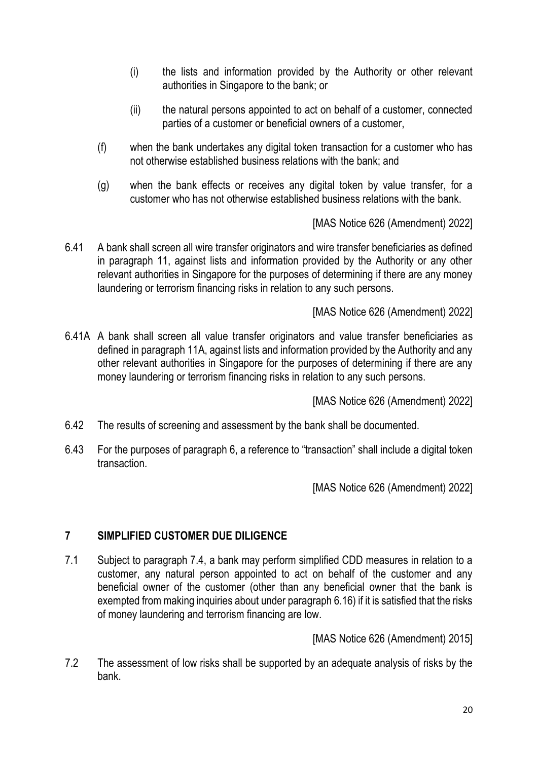- (i) the lists and information provided by the Authority or other relevant authorities in Singapore to the bank; or
- (ii) the natural persons appointed to act on behalf of a customer, connected parties of a customer or beneficial owners of a customer,
- (f) when the bank undertakes any digital token transaction for a customer who has not otherwise established business relations with the bank; and
- (g) when the bank effects or receives any digital token by value transfer, for a customer who has not otherwise established business relations with the bank.

[MAS Notice 626 (Amendment) 2022]

6.41 A bank shall screen all wire transfer originators and wire transfer beneficiaries as defined in paragraph 11, against lists and information provided by the Authority or any other relevant authorities in Singapore for the purposes of determining if there are any money laundering or terrorism financing risks in relation to any such persons.

[MAS Notice 626 (Amendment) 2022]

6.41A A bank shall screen all value transfer originators and value transfer beneficiaries as defined in paragraph 11A, against lists and information provided by the Authority and any other relevant authorities in Singapore for the purposes of determining if there are any money laundering or terrorism financing risks in relation to any such persons.

[MAS Notice 626 (Amendment) 2022]

- 6.42 The results of screening and assessment by the bank shall be documented.
- 6.43 For the purposes of paragraph 6, a reference to "transaction" shall include a digital token transaction.

[MAS Notice 626 (Amendment) 2022]

# **7 SIMPLIFIED CUSTOMER DUE DILIGENCE**

7.1 Subject to paragraph 7.4, a bank may perform simplified CDD measures in relation to a customer, any natural person appointed to act on behalf of the customer and any beneficial owner of the customer (other than any beneficial owner that the bank is exempted from making inquiries about under paragraph 6.16) if it is satisfied that the risks of money laundering and terrorism financing are low.

[MAS Notice 626 (Amendment) 2015]

7.2 The assessment of low risks shall be supported by an adequate analysis of risks by the bank.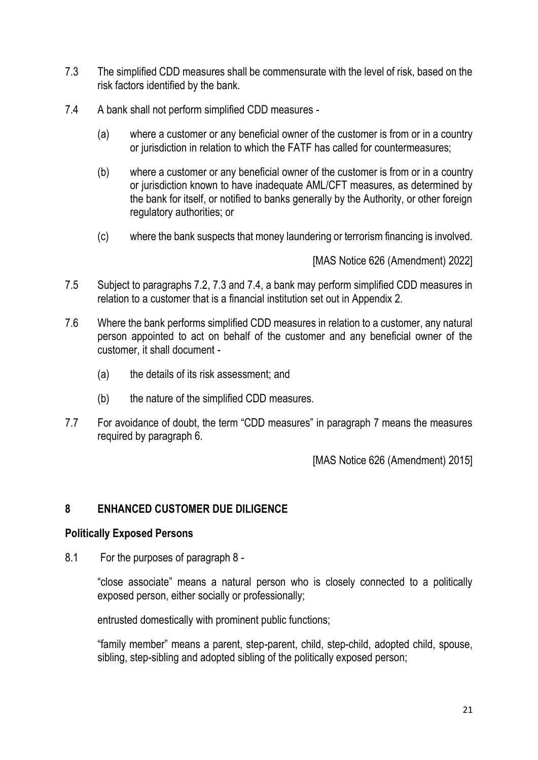- 7.3 The simplified CDD measures shall be commensurate with the level of risk, based on the risk factors identified by the bank.
- 7.4 A bank shall not perform simplified CDD measures
	- (a) where a customer or any beneficial owner of the customer is from or in a country or jurisdiction in relation to which the FATF has called for countermeasures;
	- (b) where a customer or any beneficial owner of the customer is from or in a country or jurisdiction known to have inadequate AML/CFT measures, as determined by the bank for itself, or notified to banks generally by the Authority, or other foreign regulatory authorities; or
	- (c) where the bank suspects that money laundering or terrorism financing is involved.

[MAS Notice 626 (Amendment) 2022]

- 7.5 Subject to paragraphs 7.2, 7.3 and 7.4, a bank may perform simplified CDD measures in relation to a customer that is a financial institution set out in Appendix 2.
- 7.6 Where the bank performs simplified CDD measures in relation to a customer, any natural person appointed to act on behalf of the customer and any beneficial owner of the customer, it shall document -
	- (a) the details of its risk assessment; and
	- (b) the nature of the simplified CDD measures.
- 7.7 For avoidance of doubt, the term "CDD measures" in paragraph 7 means the measures required by paragraph 6.

[MAS Notice 626 (Amendment) 2015]

### **8 ENHANCED CUSTOMER DUE DILIGENCE**

#### **Politically Exposed Persons**

8.1 For the purposes of paragraph 8 -

"close associate" means a natural person who is closely connected to a politically exposed person, either socially or professionally;

entrusted domestically with prominent public functions;

"family member" means a parent, step-parent, child, step-child, adopted child, spouse, sibling, step-sibling and adopted sibling of the politically exposed person;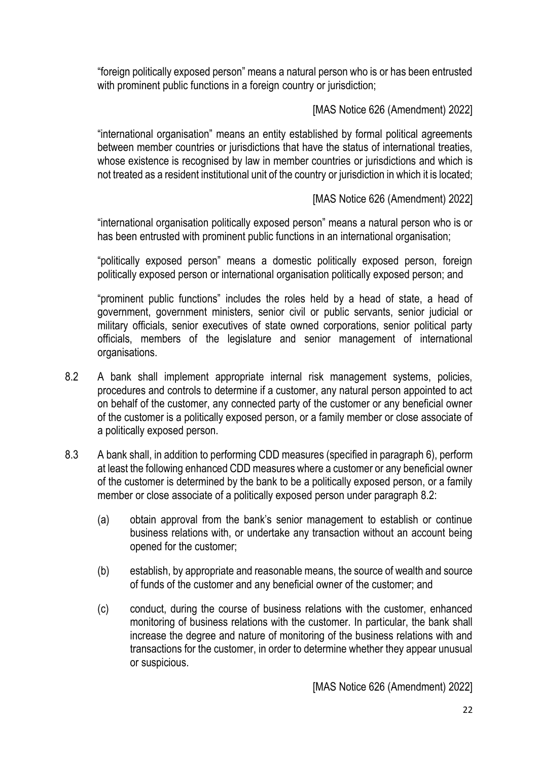"foreign politically exposed person" means a natural person who is or has been entrusted with prominent public functions in a foreign country or jurisdiction;

[MAS Notice 626 (Amendment) 2022]

"international organisation" means an entity established by formal political agreements between member countries or jurisdictions that have the status of international treaties, whose existence is recognised by law in member countries or jurisdictions and which is not treated as a resident institutional unit of the country or jurisdiction in which it is located;

# [MAS Notice 626 (Amendment) 2022]

"international organisation politically exposed person" means a natural person who is or has been entrusted with prominent public functions in an international organisation;

"politically exposed person" means a domestic politically exposed person, foreign politically exposed person or international organisation politically exposed person; and

"prominent public functions" includes the roles held by a head of state, a head of government, government ministers, senior civil or public servants, senior judicial or military officials, senior executives of state owned corporations, senior political party officials, members of the legislature and senior management of international organisations.

- 8.2 A bank shall implement appropriate internal risk management systems, policies, procedures and controls to determine if a customer, any natural person appointed to act on behalf of the customer, any connected party of the customer or any beneficial owner of the customer is a politically exposed person, or a family member or close associate of a politically exposed person.
- 8.3 A bank shall, in addition to performing CDD measures (specified in paragraph 6), perform at least the following enhanced CDD measures where a customer or any beneficial owner of the customer is determined by the bank to be a politically exposed person, or a family member or close associate of a politically exposed person under paragraph 8.2:
	- (a) obtain approval from the bank's senior management to establish or continue business relations with, or undertake any transaction without an account being opened for the customer;
	- (b) establish, by appropriate and reasonable means, the source of wealth and source of funds of the customer and any beneficial owner of the customer; and
	- (c) conduct, during the course of business relations with the customer, enhanced monitoring of business relations with the customer. In particular, the bank shall increase the degree and nature of monitoring of the business relations with and transactions for the customer, in order to determine whether they appear unusual or suspicious.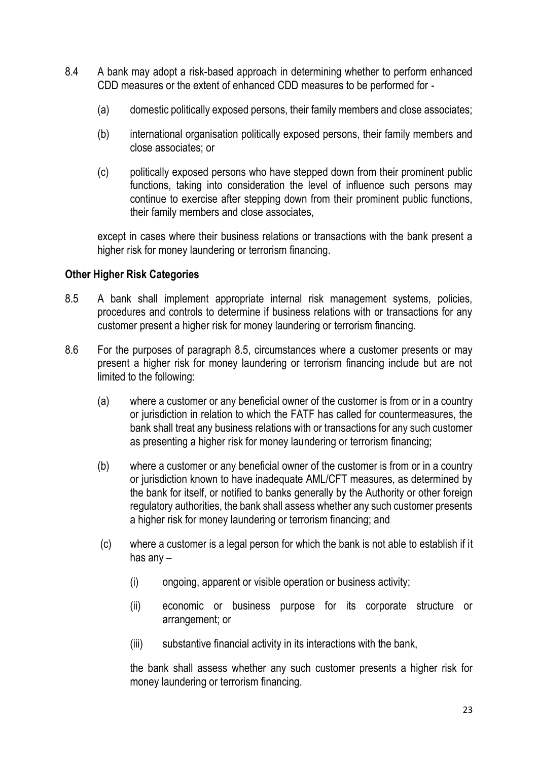- 8.4 A bank may adopt a risk-based approach in determining whether to perform enhanced CDD measures or the extent of enhanced CDD measures to be performed for -
	- (a) domestic politically exposed persons, their family members and close associates;
	- (b) international organisation politically exposed persons, their family members and close associates; or
	- (c) politically exposed persons who have stepped down from their prominent public functions, taking into consideration the level of influence such persons may continue to exercise after stepping down from their prominent public functions, their family members and close associates,

except in cases where their business relations or transactions with the bank present a higher risk for money laundering or terrorism financing.

### **Other Higher Risk Categories**

- 8.5 A bank shall implement appropriate internal risk management systems, policies, procedures and controls to determine if business relations with or transactions for any customer present a higher risk for money laundering or terrorism financing.
- 8.6 For the purposes of paragraph 8.5, circumstances where a customer presents or may present a higher risk for money laundering or terrorism financing include but are not limited to the following:
	- (a) where a customer or any beneficial owner of the customer is from or in a country or jurisdiction in relation to which the FATF has called for countermeasures, the bank shall treat any business relations with or transactions for any such customer as presenting a higher risk for money laundering or terrorism financing;
	- (b) where a customer or any beneficial owner of the customer is from or in a country or jurisdiction known to have inadequate AML/CFT measures, as determined by the bank for itself, or notified to banks generally by the Authority or other foreign regulatory authorities, the bank shall assess whether any such customer presents a higher risk for money laundering or terrorism financing; and
	- (c) where a customer is a legal person for which the bank is not able to establish if it has any –
		- (i) ongoing, apparent or visible operation or business activity;
		- (ii) economic or business purpose for its corporate structure or arrangement; or
		- (iii) substantive financial activity in its interactions with the bank,

the bank shall assess whether any such customer presents a higher risk for money laundering or terrorism financing.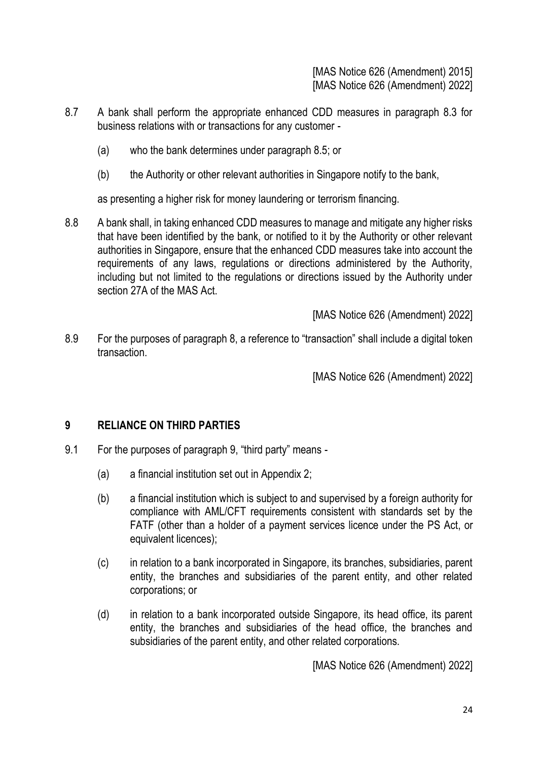[MAS Notice 626 (Amendment) 2015] [MAS Notice 626 (Amendment) 2022]

- 8.7 A bank shall perform the appropriate enhanced CDD measures in paragraph 8.3 for business relations with or transactions for any customer -
	- (a) who the bank determines under paragraph 8.5; or
	- (b) the Authority or other relevant authorities in Singapore notify to the bank,

as presenting a higher risk for money laundering or terrorism financing.

8.8 A bank shall, in taking enhanced CDD measures to manage and mitigate any higher risks that have been identified by the bank, or notified to it by the Authority or other relevant authorities in Singapore, ensure that the enhanced CDD measures take into account the requirements of any laws, regulations or directions administered by the Authority, including but not limited to the regulations or directions issued by the Authority under section 27A of the MAS Act.

[MAS Notice 626 (Amendment) 2022]

8.9 For the purposes of paragraph 8, a reference to "transaction" shall include a digital token transaction.

[MAS Notice 626 (Amendment) 2022]

### **9 RELIANCE ON THIRD PARTIES**

- 9.1 For the purposes of paragraph 9, "third party" means
	- (a) a financial institution set out in Appendix 2;
	- (b) a financial institution which is subject to and supervised by a foreign authority for compliance with AML/CFT requirements consistent with standards set by the FATF (other than a holder of a payment services licence under the PS Act, or equivalent licences);
	- (c) in relation to a bank incorporated in Singapore, its branches, subsidiaries, parent entity, the branches and subsidiaries of the parent entity, and other related corporations; or
	- (d) in relation to a bank incorporated outside Singapore, its head office, its parent entity, the branches and subsidiaries of the head office, the branches and subsidiaries of the parent entity, and other related corporations.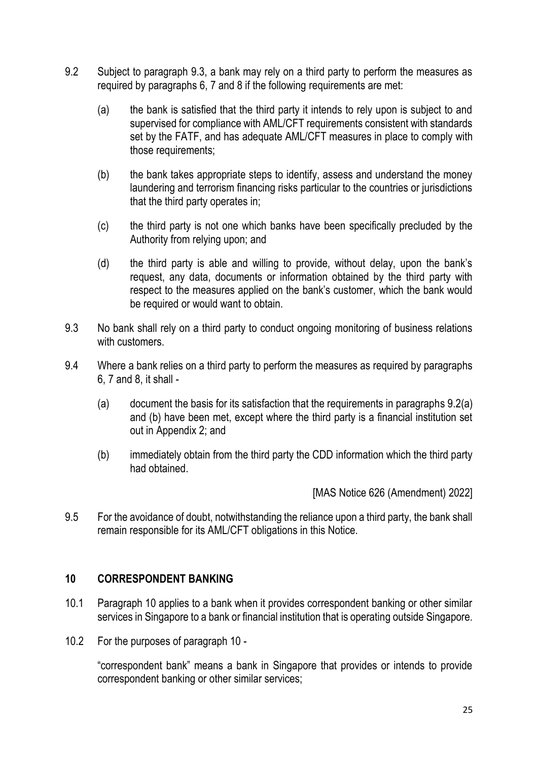- 9.2 Subject to paragraph 9.3, a bank may rely on a third party to perform the measures as required by paragraphs 6, 7 and 8 if the following requirements are met:
	- (a) the bank is satisfied that the third party it intends to rely upon is subject to and supervised for compliance with AML/CFT requirements consistent with standards set by the FATF, and has adequate AML/CFT measures in place to comply with those requirements;
	- (b) the bank takes appropriate steps to identify, assess and understand the money laundering and terrorism financing risks particular to the countries or jurisdictions that the third party operates in;
	- (c) the third party is not one which banks have been specifically precluded by the Authority from relying upon; and
	- (d) the third party is able and willing to provide, without delay, upon the bank's request, any data, documents or information obtained by the third party with respect to the measures applied on the bank's customer, which the bank would be required or would want to obtain.
- 9.3 No bank shall rely on a third party to conduct ongoing monitoring of business relations with customers.
- 9.4 Where a bank relies on a third party to perform the measures as required by paragraphs 6, 7 and 8, it shall -
	- (a) document the basis for its satisfaction that the requirements in paragraphs 9.2(a) and (b) have been met, except where the third party is a financial institution set out in Appendix 2; and
	- (b) immediately obtain from the third party the CDD information which the third party had obtained.

[MAS Notice 626 (Amendment) 2022]

9.5 For the avoidance of doubt, notwithstanding the reliance upon a third party, the bank shall remain responsible for its AML/CFT obligations in this Notice.

### **10 CORRESPONDENT BANKING**

- 10.1 Paragraph 10 applies to a bank when it provides correspondent banking or other similar services in Singapore to a bank or financial institution that is operating outside Singapore.
- 10.2 For the purposes of paragraph 10 -

"correspondent bank" means a bank in Singapore that provides or intends to provide correspondent banking or other similar services;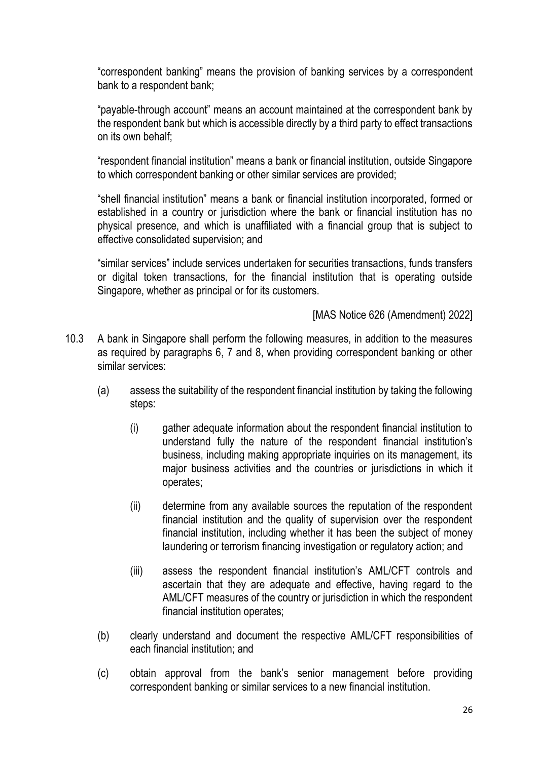"correspondent banking" means the provision of banking services by a correspondent bank to a respondent bank;

"payable-through account" means an account maintained at the correspondent bank by the respondent bank but which is accessible directly by a third party to effect transactions on its own behalf;

"respondent financial institution" means a bank or financial institution, outside Singapore to which correspondent banking or other similar services are provided;

"shell financial institution" means a bank or financial institution incorporated, formed or established in a country or jurisdiction where the bank or financial institution has no physical presence, and which is unaffiliated with a financial group that is subject to effective consolidated supervision; and

"similar services" include services undertaken for securities transactions, funds transfers or digital token transactions, for the financial institution that is operating outside Singapore, whether as principal or for its customers.

- 10.3 A bank in Singapore shall perform the following measures, in addition to the measures as required by paragraphs 6, 7 and 8, when providing correspondent banking or other similar services:
	- (a) assess the suitability of the respondent financial institution by taking the following steps:
		- (i) gather adequate information about the respondent financial institution to understand fully the nature of the respondent financial institution's business, including making appropriate inquiries on its management, its major business activities and the countries or jurisdictions in which it operates;
		- (ii) determine from any available sources the reputation of the respondent financial institution and the quality of supervision over the respondent financial institution, including whether it has been the subject of money laundering or terrorism financing investigation or regulatory action; and
		- (iii) assess the respondent financial institution's AML/CFT controls and ascertain that they are adequate and effective, having regard to the AML/CFT measures of the country or jurisdiction in which the respondent financial institution operates;
	- (b) clearly understand and document the respective AML/CFT responsibilities of each financial institution; and
	- (c) obtain approval from the bank's senior management before providing correspondent banking or similar services to a new financial institution.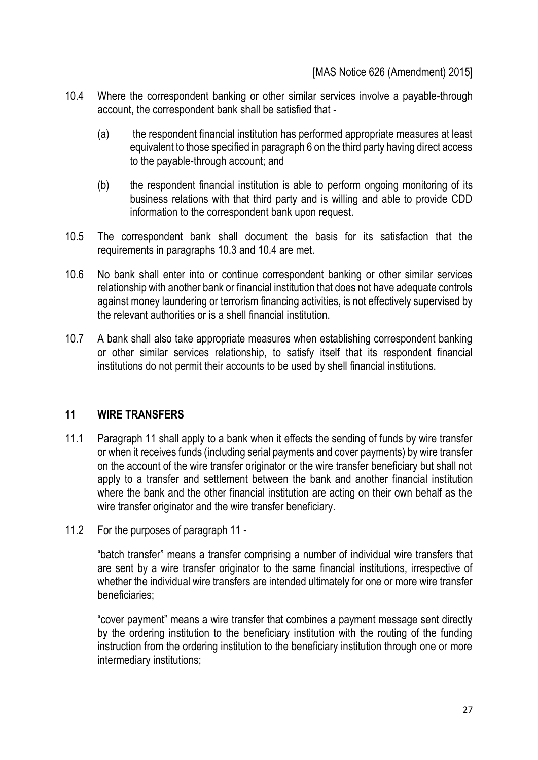- 10.4 Where the correspondent banking or other similar services involve a payable-through account, the correspondent bank shall be satisfied that -
	- (a) the respondent financial institution has performed appropriate measures at least equivalent to those specified in paragraph 6 on the third party having direct access to the payable-through account; and
	- (b) the respondent financial institution is able to perform ongoing monitoring of its business relations with that third party and is willing and able to provide CDD information to the correspondent bank upon request.
- 10.5 The correspondent bank shall document the basis for its satisfaction that the requirements in paragraphs 10.3 and 10.4 are met.
- 10.6 No bank shall enter into or continue correspondent banking or other similar services relationship with another bank or financial institution that does not have adequate controls against money laundering or terrorism financing activities, is not effectively supervised by the relevant authorities or is a shell financial institution.
- 10.7 A bank shall also take appropriate measures when establishing correspondent banking or other similar services relationship, to satisfy itself that its respondent financial institutions do not permit their accounts to be used by shell financial institutions.

### **11 WIRE TRANSFERS**

- 11.1 Paragraph 11 shall apply to a bank when it effects the sending of funds by wire transfer or when it receives funds (including serial payments and cover payments) by wire transfer on the account of the wire transfer originator or the wire transfer beneficiary but shall not apply to a transfer and settlement between the bank and another financial institution where the bank and the other financial institution are acting on their own behalf as the wire transfer originator and the wire transfer beneficiary.
- 11.2 For the purposes of paragraph 11 -

"batch transfer" means a transfer comprising a number of individual wire transfers that are sent by a wire transfer originator to the same financial institutions, irrespective of whether the individual wire transfers are intended ultimately for one or more wire transfer beneficiaries;

"cover payment" means a wire transfer that combines a payment message sent directly by the ordering institution to the beneficiary institution with the routing of the funding instruction from the ordering institution to the beneficiary institution through one or more intermediary institutions;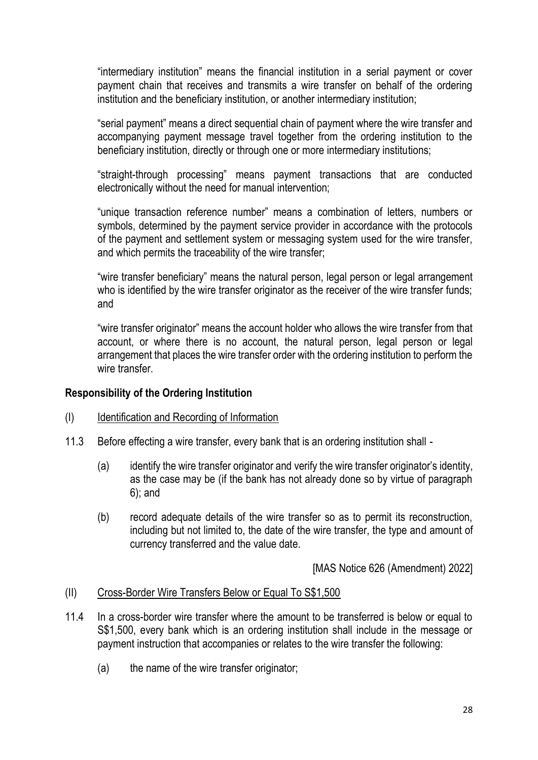"intermediary institution" means the financial institution in a serial payment or cover payment chain that receives and transmits a wire transfer on behalf of the ordering institution and the beneficiary institution, or another intermediary institution;

"serial payment" means a direct sequential chain of payment where the wire transfer and accompanying payment message travel together from the ordering institution to the beneficiary institution, directly or through one or more intermediary institutions;

"straight-through processing" means payment transactions that are conducted electronically without the need for manual intervention;

"unique transaction reference number" means a combination of letters, numbers or symbols, determined by the payment service provider in accordance with the protocols of the payment and settlement system or messaging system used for the wire transfer, and which permits the traceability of the wire transfer;

"wire transfer beneficiary" means the natural person, legal person or legal arrangement who is identified by the wire transfer originator as the receiver of the wire transfer funds; and

"wire transfer originator" means the account holder who allows the wire transfer from that account, or where there is no account, the natural person, legal person or legal arrangement that places the wire transfer order with the ordering institution to perform the wire transfer.

### **Responsibility of the Ordering Institution**

### (I) Identification and Recording of Information

- 11.3 Before effecting a wire transfer, every bank that is an ordering institution shall
	- (a) identify the wire transfer originator and verify the wire transfer originator's identity, as the case may be (if the bank has not already done so by virtue of paragraph 6); and
	- (b) record adequate details of the wire transfer so as to permit its reconstruction, including but not limited to, the date of the wire transfer, the type and amount of currency transferred and the value date.

[MAS Notice 626 (Amendment) 2022]

#### (II) Cross-Border Wire Transfers Below or Equal To S\$1,500

- 11.4 In a cross-border wire transfer where the amount to be transferred is below or equal to S\$1,500, every bank which is an ordering institution shall include in the message or payment instruction that accompanies or relates to the wire transfer the following:
	- (a) the name of the wire transfer originator;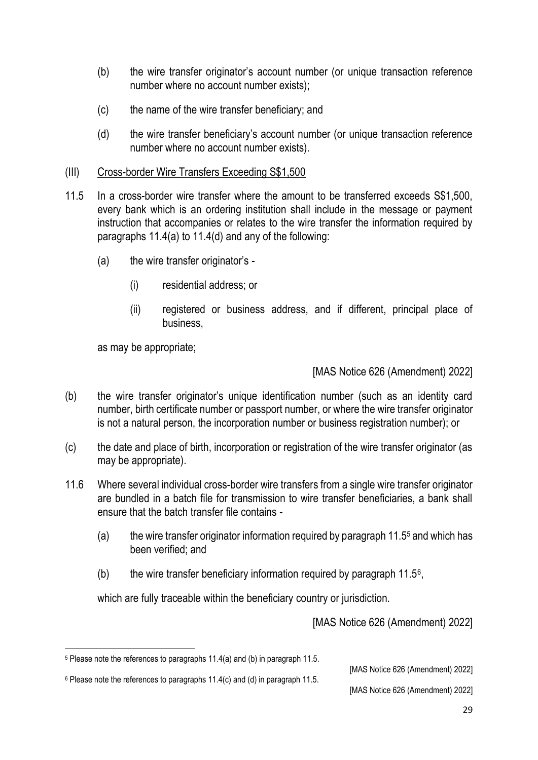- (b) the wire transfer originator's account number (or unique transaction reference number where no account number exists);
- (c) the name of the wire transfer beneficiary; and
- (d) the wire transfer beneficiary's account number (or unique transaction reference number where no account number exists).
- (III) Cross-border Wire Transfers Exceeding S\$1,500
- 11.5 In a cross-border wire transfer where the amount to be transferred exceeds S\$1,500, every bank which is an ordering institution shall include in the message or payment instruction that accompanies or relates to the wire transfer the information required by paragraphs 11.4(a) to 11.4(d) and any of the following:
	- (a) the wire transfer originator's
		- (i) residential address; or
		- (ii) registered or business address, and if different, principal place of business,

as may be appropriate;

### [MAS Notice 626 (Amendment) 2022]

- (b) the wire transfer originator's unique identification number (such as an identity card number, birth certificate number or passport number, or where the wire transfer originator is not a natural person, the incorporation number or business registration number); or
- (c) the date and place of birth, incorporation or registration of the wire transfer originator (as may be appropriate).
- 11.6 Where several individual cross-border wire transfers from a single wire transfer originator are bundled in a batch file for transmission to wire transfer beneficiaries, a bank shall ensure that the batch transfer file contains -
	- (a) the wire transfer originator information required by paragraph 11.5<sup>5</sup> and which has been verified; and
	- (b) the wire transfer beneficiary information required by paragraph  $11.5^{\circ}$ ,

which are fully traceable within the beneficiary country or jurisdiction.

[MAS Notice 626 (Amendment) 2022]

[MAS Notice 626 (Amendment) 2022]

<sup>6</sup> Please note the references to paragraphs 11.4(c) and (d) in paragraph 11.5.

<sup>5</sup> Please note the references to paragraphs 11.4(a) and (b) in paragraph 11.5.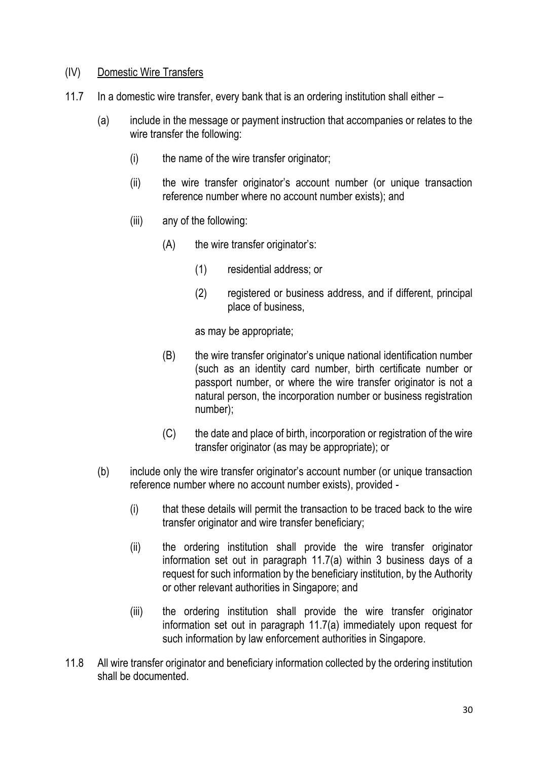### (IV) Domestic Wire Transfers

- 11.7 In a domestic wire transfer, every bank that is an ordering institution shall either
	- (a) include in the message or payment instruction that accompanies or relates to the wire transfer the following:
		- (i) the name of the wire transfer originator;
		- (ii) the wire transfer originator's account number (or unique transaction reference number where no account number exists); and
		- (iii) any of the following:
			- (A) the wire transfer originator's:
				- (1) residential address; or
				- (2) registered or business address, and if different, principal place of business,

as may be appropriate;

- (B) the wire transfer originator's unique national identification number (such as an identity card number, birth certificate number or passport number, or where the wire transfer originator is not a natural person, the incorporation number or business registration number);
- (C) the date and place of birth, incorporation or registration of the wire transfer originator (as may be appropriate); or
- (b) include only the wire transfer originator's account number (or unique transaction reference number where no account number exists), provided -
	- (i) that these details will permit the transaction to be traced back to the wire transfer originator and wire transfer beneficiary;
	- (ii) the ordering institution shall provide the wire transfer originator information set out in paragraph 11.7(a) within 3 business days of a request for such information by the beneficiary institution, by the Authority or other relevant authorities in Singapore; and
	- (iii) the ordering institution shall provide the wire transfer originator information set out in paragraph 11.7(a) immediately upon request for such information by law enforcement authorities in Singapore.
- 11.8 All wire transfer originator and beneficiary information collected by the ordering institution shall be documented.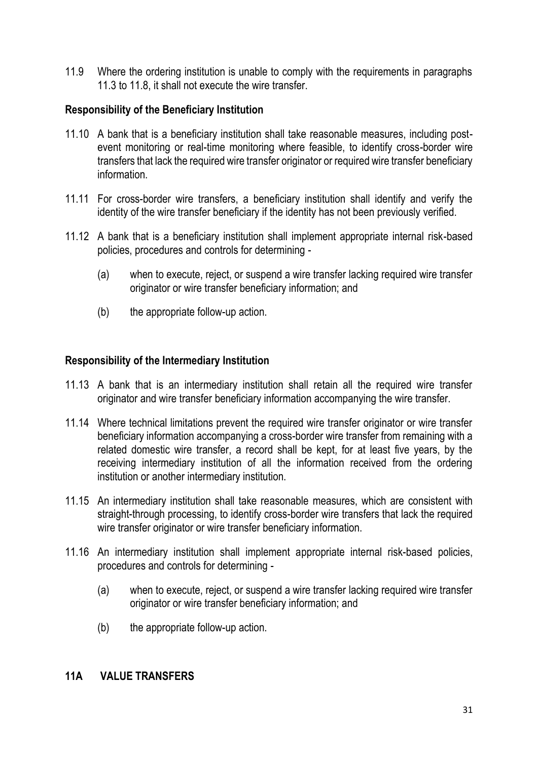11.9 Where the ordering institution is unable to comply with the requirements in paragraphs 11.3 to 11.8, it shall not execute the wire transfer.

### **Responsibility of the Beneficiary Institution**

- 11.10 A bank that is a beneficiary institution shall take reasonable measures, including postevent monitoring or real-time monitoring where feasible, to identify cross-border wire transfers that lack the required wire transfer originator or required wire transfer beneficiary information.
- 11.11 For cross-border wire transfers, a beneficiary institution shall identify and verify the identity of the wire transfer beneficiary if the identity has not been previously verified.
- 11.12 A bank that is a beneficiary institution shall implement appropriate internal risk-based policies, procedures and controls for determining -
	- (a) when to execute, reject, or suspend a wire transfer lacking required wire transfer originator or wire transfer beneficiary information; and
	- (b) the appropriate follow-up action.

## **Responsibility of the Intermediary Institution**

- 11.13 A bank that is an intermediary institution shall retain all the required wire transfer originator and wire transfer beneficiary information accompanying the wire transfer.
- 11.14 Where technical limitations prevent the required wire transfer originator or wire transfer beneficiary information accompanying a cross-border wire transfer from remaining with a related domestic wire transfer, a record shall be kept, for at least five years, by the receiving intermediary institution of all the information received from the ordering institution or another intermediary institution.
- 11.15 An intermediary institution shall take reasonable measures, which are consistent with straight-through processing, to identify cross-border wire transfers that lack the required wire transfer originator or wire transfer beneficiary information.
- 11.16 An intermediary institution shall implement appropriate internal risk-based policies, procedures and controls for determining -
	- (a) when to execute, reject, or suspend a wire transfer lacking required wire transfer originator or wire transfer beneficiary information; and
	- (b) the appropriate follow-up action.

### **11A VALUE TRANSFERS**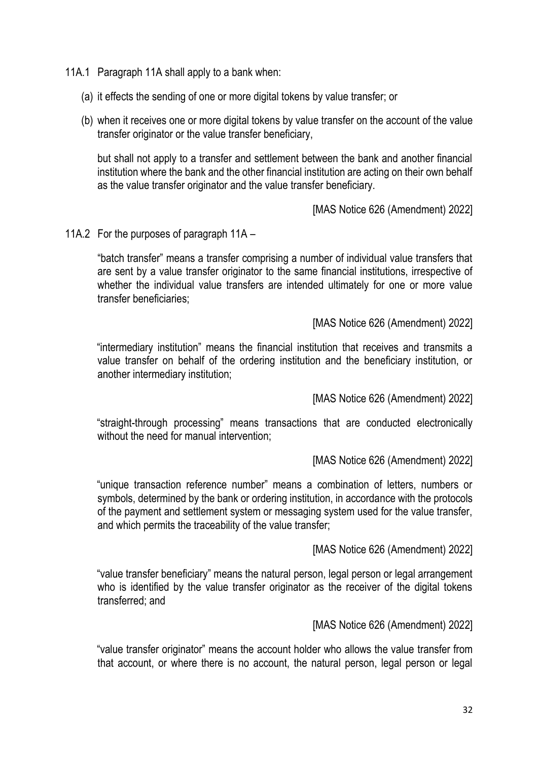- 11A.1 Paragraph 11A shall apply to a bank when:
	- (a) it effects the sending of one or more digital tokens by value transfer; or
	- (b) when it receives one or more digital tokens by value transfer on the account of the value transfer originator or the value transfer beneficiary,

but shall not apply to a transfer and settlement between the bank and another financial institution where the bank and the other financial institution are acting on their own behalf as the value transfer originator and the value transfer beneficiary.

[MAS Notice 626 (Amendment) 2022]

11A.2 For the purposes of paragraph 11A –

"batch transfer" means a transfer comprising a number of individual value transfers that are sent by a value transfer originator to the same financial institutions, irrespective of whether the individual value transfers are intended ultimately for one or more value transfer beneficiaries;

[MAS Notice 626 (Amendment) 2022]

"intermediary institution" means the financial institution that receives and transmits a value transfer on behalf of the ordering institution and the beneficiary institution, or another intermediary institution;

[MAS Notice 626 (Amendment) 2022]

"straight-through processing" means transactions that are conducted electronically without the need for manual intervention;

[MAS Notice 626 (Amendment) 2022]

"unique transaction reference number" means a combination of letters, numbers or symbols, determined by the bank or ordering institution, in accordance with the protocols of the payment and settlement system or messaging system used for the value transfer, and which permits the traceability of the value transfer;

[MAS Notice 626 (Amendment) 2022]

"value transfer beneficiary" means the natural person, legal person or legal arrangement who is identified by the value transfer originator as the receiver of the digital tokens transferred; and

[MAS Notice 626 (Amendment) 2022]

"value transfer originator" means the account holder who allows the value transfer from that account, or where there is no account, the natural person, legal person or legal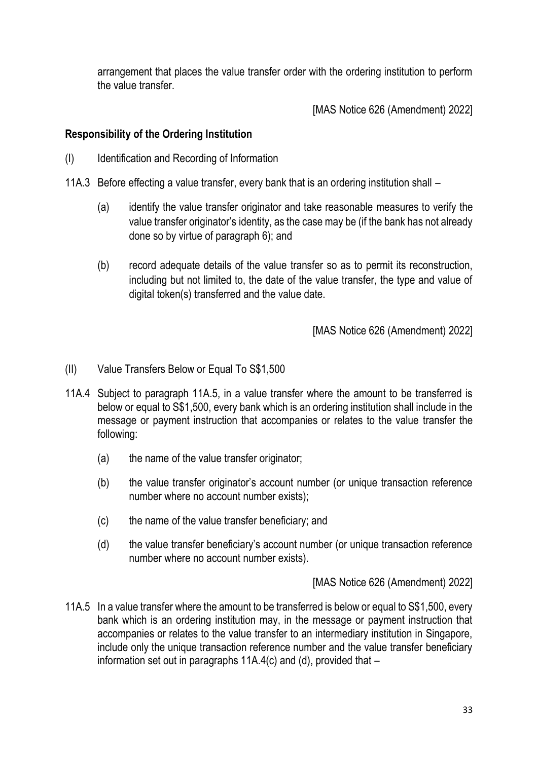arrangement that places the value transfer order with the ordering institution to perform the value transfer.

[MAS Notice 626 (Amendment) 2022]

## **Responsibility of the Ordering Institution**

- (I) Identification and Recording of Information
- 11A.3 Before effecting a value transfer, every bank that is an ordering institution shall
	- (a) identify the value transfer originator and take reasonable measures to verify the value transfer originator's identity, as the case may be (if the bank has not already done so by virtue of paragraph 6); and
	- (b) record adequate details of the value transfer so as to permit its reconstruction, including but not limited to, the date of the value transfer, the type and value of digital token(s) transferred and the value date.

[MAS Notice 626 (Amendment) 2022]

- (II) Value Transfers Below or Equal To S\$1,500
- 11A.4 Subject to paragraph 11A.5, in a value transfer where the amount to be transferred is below or equal to S\$1,500, every bank which is an ordering institution shall include in the message or payment instruction that accompanies or relates to the value transfer the following:
	- (a) the name of the value transfer originator;
	- (b) the value transfer originator's account number (or unique transaction reference number where no account number exists);
	- (c) the name of the value transfer beneficiary; and
	- (d) the value transfer beneficiary's account number (or unique transaction reference number where no account number exists).

[MAS Notice 626 (Amendment) 2022]

11A.5 In a value transfer where the amount to be transferred is below or equal to S\$1,500, every bank which is an ordering institution may, in the message or payment instruction that accompanies or relates to the value transfer to an intermediary institution in Singapore, include only the unique transaction reference number and the value transfer beneficiary information set out in paragraphs 11A.4(c) and (d), provided that –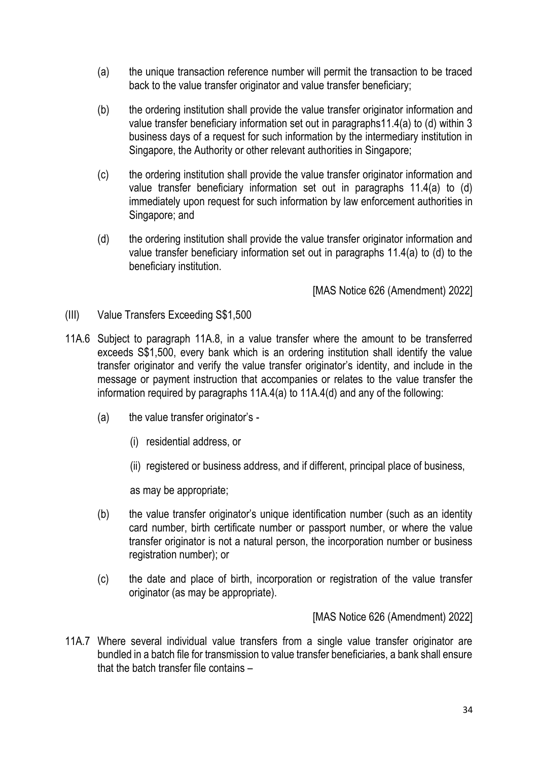- (a) the unique transaction reference number will permit the transaction to be traced back to the value transfer originator and value transfer beneficiary;
- (b) the ordering institution shall provide the value transfer originator information and value transfer beneficiary information set out in paragraphs11.4(a) to (d) within 3 business days of a request for such information by the intermediary institution in Singapore, the Authority or other relevant authorities in Singapore;
- (c) the ordering institution shall provide the value transfer originator information and value transfer beneficiary information set out in paragraphs 11.4(a) to (d) immediately upon request for such information by law enforcement authorities in Singapore; and
- (d) the ordering institution shall provide the value transfer originator information and value transfer beneficiary information set out in paragraphs 11.4(a) to (d) to the beneficiary institution.

[MAS Notice 626 (Amendment) 2022]

- (III) Value Transfers Exceeding S\$1,500
- 11A.6 Subject to paragraph 11A.8, in a value transfer where the amount to be transferred exceeds S\$1,500, every bank which is an ordering institution shall identify the value transfer originator and verify the value transfer originator's identity, and include in the message or payment instruction that accompanies or relates to the value transfer the information required by paragraphs 11A.4(a) to 11A.4(d) and any of the following:
	- (a) the value transfer originator's
		- (i) residential address, or
		- (ii) registered or business address, and if different, principal place of business,

as may be appropriate;

- (b) the value transfer originator's unique identification number (such as an identity card number, birth certificate number or passport number, or where the value transfer originator is not a natural person, the incorporation number or business registration number); or
- (c) the date and place of birth, incorporation or registration of the value transfer originator (as may be appropriate).

[MAS Notice 626 (Amendment) 2022]

11A.7 Where several individual value transfers from a single value transfer originator are bundled in a batch file for transmission to value transfer beneficiaries, a bank shall ensure that the batch transfer file contains –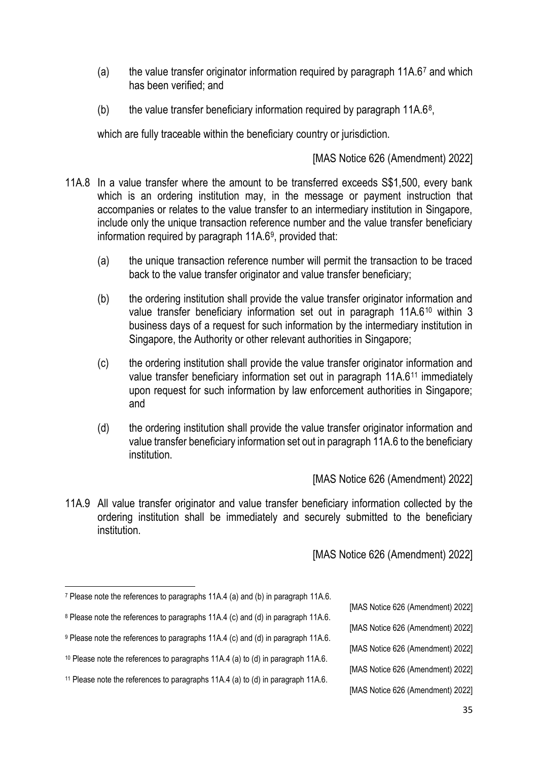- (a) the value transfer originator information required by paragraph 11A.67 and which has been verified; and
- (b) the value transfer beneficiary information required by paragraph  $11A.6<sup>8</sup>$ ,

which are fully traceable within the beneficiary country or jurisdiction.

[MAS Notice 626 (Amendment) 2022]

- 11A.8 In a value transfer where the amount to be transferred exceeds S\$1,500, every bank which is an ordering institution may, in the message or payment instruction that accompanies or relates to the value transfer to an intermediary institution in Singapore, include only the unique transaction reference number and the value transfer beneficiary information required by paragraph 11A.6<sup>9</sup>, provided that:
	- (a) the unique transaction reference number will permit the transaction to be traced back to the value transfer originator and value transfer beneficiary;
	- (b) the ordering institution shall provide the value transfer originator information and value transfer beneficiary information set out in paragraph 11A.6<sup>10</sup> within 3 business days of a request for such information by the intermediary institution in Singapore, the Authority or other relevant authorities in Singapore;
	- (c) the ordering institution shall provide the value transfer originator information and value transfer beneficiary information set out in paragraph 11A.6<sup>11</sup> immediately upon request for such information by law enforcement authorities in Singapore; and
	- (d) the ordering institution shall provide the value transfer originator information and value transfer beneficiary information set out in paragraph 11A.6 to the beneficiary institution.

[MAS Notice 626 (Amendment) 2022]

11A.9 All value transfer originator and value transfer beneficiary information collected by the ordering institution shall be immediately and securely submitted to the beneficiary institution.

- [MAS Notice 626 (Amendment) 2022]
- [MAS Notice 626 (Amendment) 2022]
- [MAS Notice 626 (Amendment) 2022]
- [MAS Notice 626 (Amendment) 2022]
- [MAS Notice 626 (Amendment) 2022]

<sup>7</sup> Please note the references to paragraphs 11A.4 (a) and (b) in paragraph 11A.6.

<sup>8</sup> Please note the references to paragraphs 11A.4 (c) and (d) in paragraph 11A.6.

<sup>9</sup> Please note the references to paragraphs 11A.4 (c) and (d) in paragraph 11A.6.

<sup>10</sup> Please note the references to paragraphs 11A.4 (a) to (d) in paragraph 11A.6.

<sup>&</sup>lt;sup>11</sup> Please note the references to paragraphs 11A.4 (a) to (d) in paragraph 11A.6.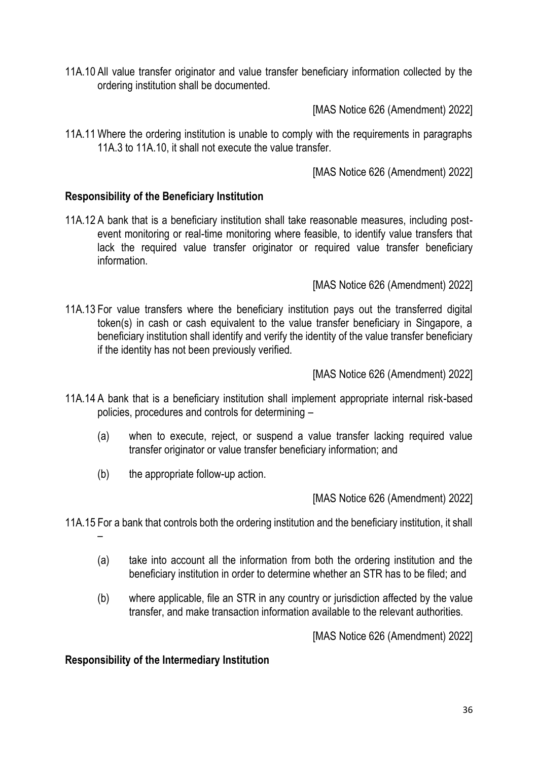11A.10 All value transfer originator and value transfer beneficiary information collected by the ordering institution shall be documented.

[MAS Notice 626 (Amendment) 2022]

11A.11 Where the ordering institution is unable to comply with the requirements in paragraphs 11A.3 to 11A.10, it shall not execute the value transfer.

[MAS Notice 626 (Amendment) 2022]

### **Responsibility of the Beneficiary Institution**

11A.12 A bank that is a beneficiary institution shall take reasonable measures, including postevent monitoring or real-time monitoring where feasible, to identify value transfers that lack the required value transfer originator or required value transfer beneficiary information.

[MAS Notice 626 (Amendment) 2022]

11A.13 For value transfers where the beneficiary institution pays out the transferred digital token(s) in cash or cash equivalent to the value transfer beneficiary in Singapore, a beneficiary institution shall identify and verify the identity of the value transfer beneficiary if the identity has not been previously verified.

[MAS Notice 626 (Amendment) 2022]

- 11A.14 A bank that is a beneficiary institution shall implement appropriate internal risk-based policies, procedures and controls for determining –
	- (a) when to execute, reject, or suspend a value transfer lacking required value transfer originator or value transfer beneficiary information; and
	- (b) the appropriate follow-up action.

[MAS Notice 626 (Amendment) 2022]

- 11A.15 For a bank that controls both the ordering institution and the beneficiary institution, it shall
	- (a) take into account all the information from both the ordering institution and the beneficiary institution in order to determine whether an STR has to be filed; and
	- (b) where applicable, file an STR in any country or jurisdiction affected by the value transfer, and make transaction information available to the relevant authorities.

[MAS Notice 626 (Amendment) 2022]

**Responsibility of the Intermediary Institution**

–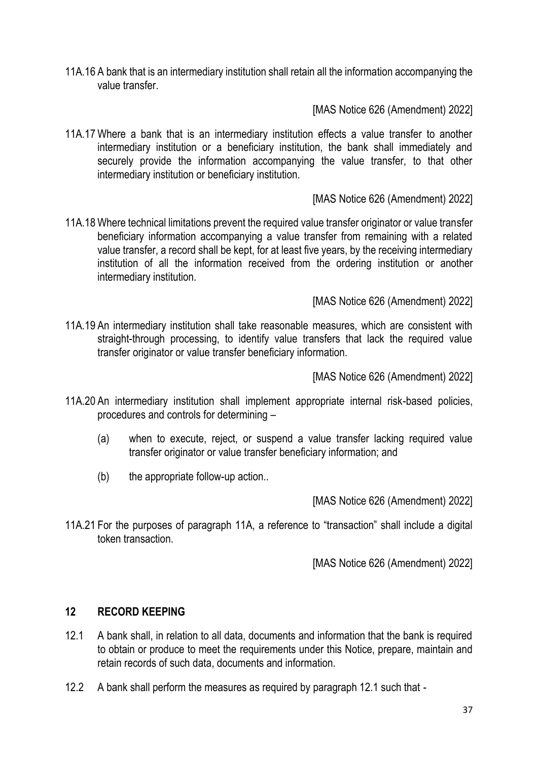11A.16 A bank that is an intermediary institution shall retain all the information accompanying the value transfer.

[MAS Notice 626 (Amendment) 2022]

11A.17 Where a bank that is an intermediary institution effects a value transfer to another intermediary institution or a beneficiary institution, the bank shall immediately and securely provide the information accompanying the value transfer, to that other intermediary institution or beneficiary institution.

## [MAS Notice 626 (Amendment) 2022]

11A.18 Where technical limitations prevent the required value transfer originator or value transfer beneficiary information accompanying a value transfer from remaining with a related value transfer, a record shall be kept, for at least five years, by the receiving intermediary institution of all the information received from the ordering institution or another intermediary institution.

[MAS Notice 626 (Amendment) 2022]

11A.19 An intermediary institution shall take reasonable measures, which are consistent with straight-through processing, to identify value transfers that lack the required value transfer originator or value transfer beneficiary information.

[MAS Notice 626 (Amendment) 2022]

- 11A.20 An intermediary institution shall implement appropriate internal risk-based policies, procedures and controls for determining –
	- (a) when to execute, reject, or suspend a value transfer lacking required value transfer originator or value transfer beneficiary information; and
	- (b) the appropriate follow-up action..

[MAS Notice 626 (Amendment) 2022]

11A.21 For the purposes of paragraph 11A, a reference to "transaction" shall include a digital token transaction.

[MAS Notice 626 (Amendment) 2022]

### **12 RECORD KEEPING**

- 12.1 A bank shall, in relation to all data, documents and information that the bank is required to obtain or produce to meet the requirements under this Notice, prepare, maintain and retain records of such data, documents and information.
- 12.2 A bank shall perform the measures as required by paragraph 12.1 such that -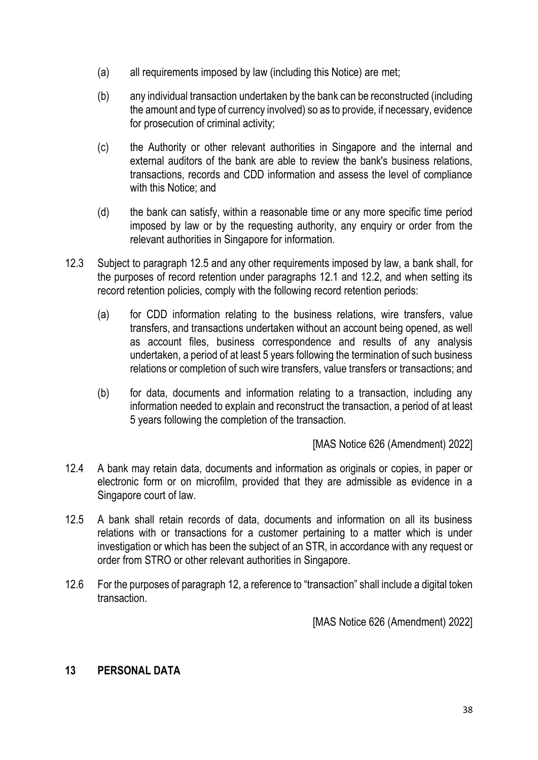- (a) all requirements imposed by law (including this Notice) are met;
- (b) any individual transaction undertaken by the bank can be reconstructed (including the amount and type of currency involved) so as to provide, if necessary, evidence for prosecution of criminal activity;
- (c) the Authority or other relevant authorities in Singapore and the internal and external auditors of the bank are able to review the bank's business relations, transactions, records and CDD information and assess the level of compliance with this Notice; and
- (d) the bank can satisfy, within a reasonable time or any more specific time period imposed by law or by the requesting authority, any enquiry or order from the relevant authorities in Singapore for information.
- 12.3 Subject to paragraph 12.5 and any other requirements imposed by law, a bank shall, for the purposes of record retention under paragraphs 12.1 and 12.2, and when setting its record retention policies, comply with the following record retention periods:
	- (a) for CDD information relating to the business relations, wire transfers, value transfers, and transactions undertaken without an account being opened, as well as account files, business correspondence and results of any analysis undertaken, a period of at least 5 years following the termination of such business relations or completion of such wire transfers, value transfers or transactions; and
	- (b) for data, documents and information relating to a transaction, including any information needed to explain and reconstruct the transaction, a period of at least 5 years following the completion of the transaction.

[MAS Notice 626 (Amendment) 2022]

- 12.4 A bank may retain data, documents and information as originals or copies, in paper or electronic form or on microfilm, provided that they are admissible as evidence in a Singapore court of law.
- 12.5 A bank shall retain records of data, documents and information on all its business relations with or transactions for a customer pertaining to a matter which is under investigation or which has been the subject of an STR, in accordance with any request or order from STRO or other relevant authorities in Singapore.
- 12.6 For the purposes of paragraph 12, a reference to "transaction" shall include a digital token transaction.

[MAS Notice 626 (Amendment) 2022]

# **13 PERSONAL DATA**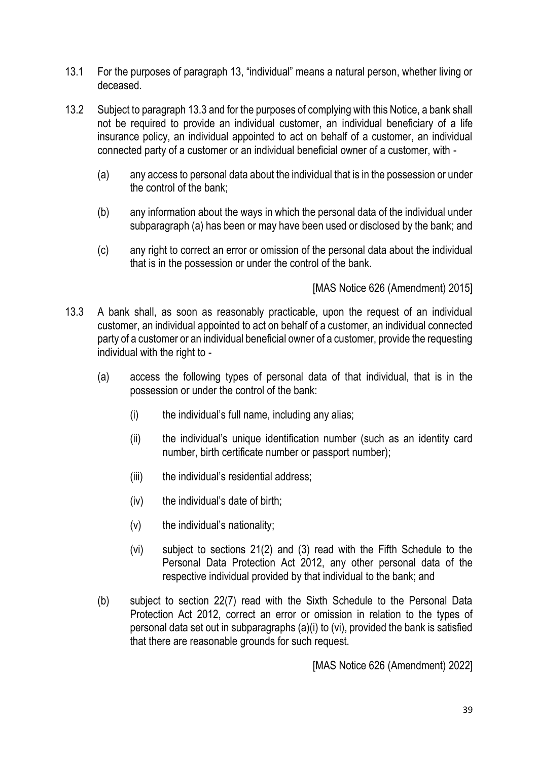- 13.1 For the purposes of paragraph 13, "individual" means a natural person, whether living or deceased.
- 13.2 Subject to paragraph 13.3 and for the purposes of complying with this Notice, a bank shall not be required to provide an individual customer, an individual beneficiary of a life insurance policy, an individual appointed to act on behalf of a customer, an individual connected party of a customer or an individual beneficial owner of a customer, with -
	- (a) any access to personal data about the individual that is in the possession or under the control of the bank;
	- (b) any information about the ways in which the personal data of the individual under subparagraph (a) has been or may have been used or disclosed by the bank; and
	- (c) any right to correct an error or omission of the personal data about the individual that is in the possession or under the control of the bank.

[MAS Notice 626 (Amendment) 2015]

- 13.3 A bank shall, as soon as reasonably practicable, upon the request of an individual customer, an individual appointed to act on behalf of a customer, an individual connected party of a customer or an individual beneficial owner of a customer, provide the requesting individual with the right to -
	- (a) access the following types of personal data of that individual, that is in the possession or under the control of the bank:
		- (i) the individual's full name, including any alias;
		- (ii) the individual's unique identification number (such as an identity card number, birth certificate number or passport number);
		- (iii) the individual's residential address;
		- (iv) the individual's date of birth;
		- (v) the individual's nationality;
		- (vi) subject to sections 21(2) and (3) read with the Fifth Schedule to the Personal Data Protection Act 2012, any other personal data of the respective individual provided by that individual to the bank; and
	- (b) subject to section 22(7) read with the Sixth Schedule to the Personal Data Protection Act 2012, correct an error or omission in relation to the types of personal data set out in subparagraphs (a)(i) to (vi), provided the bank is satisfied that there are reasonable grounds for such request.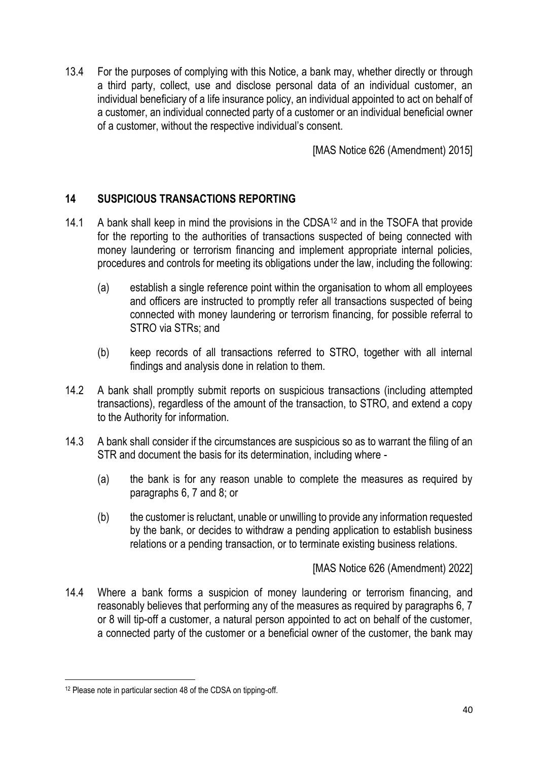13.4 For the purposes of complying with this Notice, a bank may, whether directly or through a third party, collect, use and disclose personal data of an individual customer, an individual beneficiary of a life insurance policy, an individual appointed to act on behalf of a customer, an individual connected party of a customer or an individual beneficial owner of a customer, without the respective individual's consent.

[MAS Notice 626 (Amendment) 2015]

# **14 SUSPICIOUS TRANSACTIONS REPORTING**

- 14.1 A bank shall keep in mind the provisions in the CDSA<sup>12</sup> and in the TSOFA that provide for the reporting to the authorities of transactions suspected of being connected with money laundering or terrorism financing and implement appropriate internal policies, procedures and controls for meeting its obligations under the law, including the following:
	- (a) establish a single reference point within the organisation to whom all employees and officers are instructed to promptly refer all transactions suspected of being connected with money laundering or terrorism financing, for possible referral to STRO via STRs; and
	- (b) keep records of all transactions referred to STRO, together with all internal findings and analysis done in relation to them.
- 14.2 A bank shall promptly submit reports on suspicious transactions (including attempted transactions), regardless of the amount of the transaction, to STRO, and extend a copy to the Authority for information.
- 14.3 A bank shall consider if the circumstances are suspicious so as to warrant the filing of an STR and document the basis for its determination, including where -
	- (a) the bank is for any reason unable to complete the measures as required by paragraphs 6, 7 and 8; or
	- (b) the customer is reluctant, unable or unwilling to provide any information requested by the bank, or decides to withdraw a pending application to establish business relations or a pending transaction, or to terminate existing business relations.

[MAS Notice 626 (Amendment) 2022]

14.4 Where a bank forms a suspicion of money laundering or terrorism financing, and reasonably believes that performing any of the measures as required by paragraphs 6, 7 or 8 will tip-off a customer, a natural person appointed to act on behalf of the customer, a connected party of the customer or a beneficial owner of the customer, the bank may

<sup>12</sup> Please note in particular section 48 of the CDSA on tipping-off.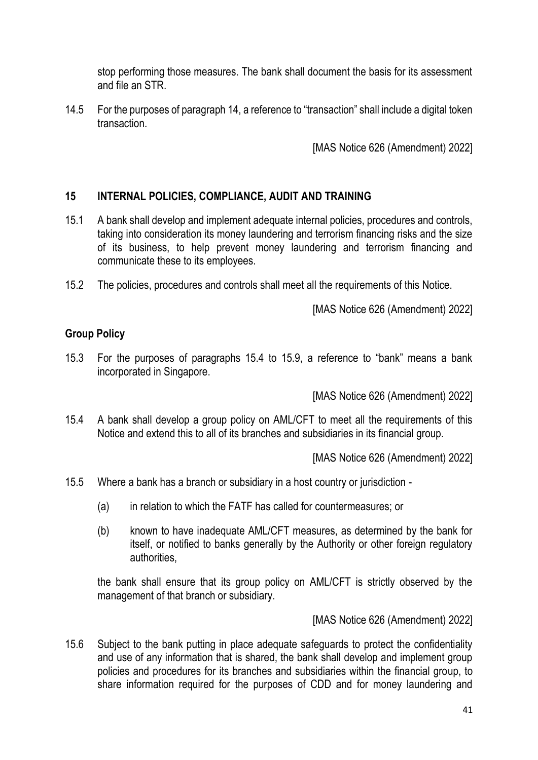stop performing those measures. The bank shall document the basis for its assessment and file an STR.

14.5 For the purposes of paragraph 14, a reference to "transaction" shall include a digital token transaction.

[MAS Notice 626 (Amendment) 2022]

### **15 INTERNAL POLICIES, COMPLIANCE, AUDIT AND TRAINING**

- 15.1 A bank shall develop and implement adequate internal policies, procedures and controls, taking into consideration its money laundering and terrorism financing risks and the size of its business, to help prevent money laundering and terrorism financing and communicate these to its employees.
- 15.2 The policies, procedures and controls shall meet all the requirements of this Notice.

[MAS Notice 626 (Amendment) 2022]

## **Group Policy**

15.3 For the purposes of paragraphs 15.4 to 15.9, a reference to "bank" means a bank incorporated in Singapore.

[MAS Notice 626 (Amendment) 2022]

15.4 A bank shall develop a group policy on AML/CFT to meet all the requirements of this Notice and extend this to all of its branches and subsidiaries in its financial group.

[MAS Notice 626 (Amendment) 2022]

- 15.5 Where a bank has a branch or subsidiary in a host country or jurisdiction
	- (a) in relation to which the FATF has called for countermeasures; or
	- (b) known to have inadequate AML/CFT measures, as determined by the bank for itself, or notified to banks generally by the Authority or other foreign regulatory authorities,

the bank shall ensure that its group policy on AML/CFT is strictly observed by the management of that branch or subsidiary.

[MAS Notice 626 (Amendment) 2022]

15.6 Subject to the bank putting in place adequate safeguards to protect the confidentiality and use of any information that is shared, the bank shall develop and implement group policies and procedures for its branches and subsidiaries within the financial group, to share information required for the purposes of CDD and for money laundering and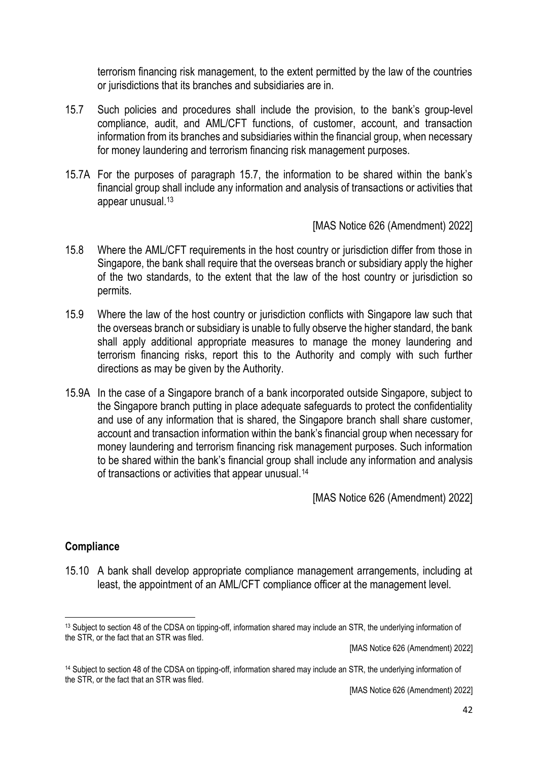terrorism financing risk management, to the extent permitted by the law of the countries or jurisdictions that its branches and subsidiaries are in.

- 15.7 Such policies and procedures shall include the provision, to the bank's group-level compliance, audit, and AML/CFT functions, of customer, account, and transaction information from its branches and subsidiaries within the financial group, when necessary for money laundering and terrorism financing risk management purposes.
- 15.7A For the purposes of paragraph 15.7, the information to be shared within the bank's financial group shall include any information and analysis of transactions or activities that appear unusual.<sup>13</sup>

[MAS Notice 626 (Amendment) 2022]

- 15.8 Where the AML/CFT requirements in the host country or jurisdiction differ from those in Singapore, the bank shall require that the overseas branch or subsidiary apply the higher of the two standards, to the extent that the law of the host country or jurisdiction so permits.
- 15.9 Where the law of the host country or jurisdiction conflicts with Singapore law such that the overseas branch or subsidiary is unable to fully observe the higher standard, the bank shall apply additional appropriate measures to manage the money laundering and terrorism financing risks, report this to the Authority and comply with such further directions as may be given by the Authority.
- 15.9A In the case of a Singapore branch of a bank incorporated outside Singapore, subject to the Singapore branch putting in place adequate safeguards to protect the confidentiality and use of any information that is shared, the Singapore branch shall share customer, account and transaction information within the bank's financial group when necessary for money laundering and terrorism financing risk management purposes. Such information to be shared within the bank's financial group shall include any information and analysis of transactions or activities that appear unusual.<sup>14</sup>

[MAS Notice 626 (Amendment) 2022]

### **Compliance**

15.10 A bank shall develop appropriate compliance management arrangements, including at least, the appointment of an AML/CFT compliance officer at the management level.

[MAS Notice 626 (Amendment) 2022]

<sup>13</sup> Subject to section 48 of the CDSA on tipping-off, information shared may include an STR, the underlying information of the STR, or the fact that an STR was filed.

<sup>14</sup> Subject to section 48 of the CDSA on tipping-off, information shared may include an STR, the underlying information of the STR, or the fact that an STR was filed.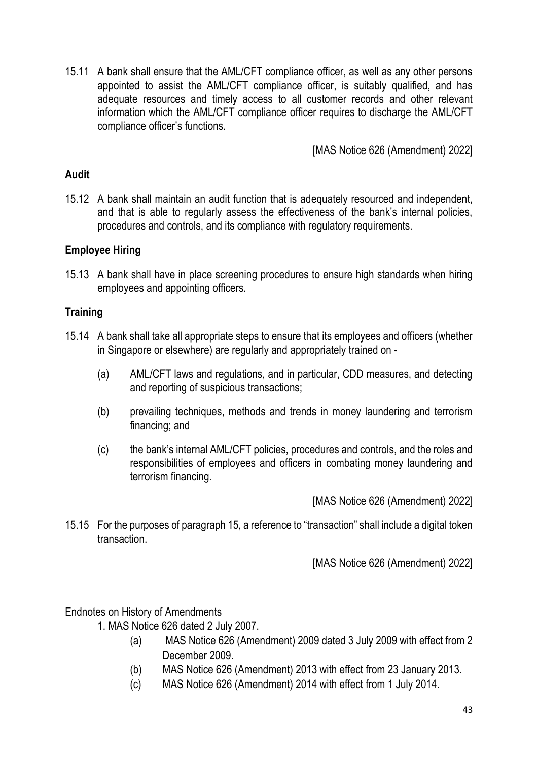15.11 A bank shall ensure that the AML/CFT compliance officer, as well as any other persons appointed to assist the AML/CFT compliance officer, is suitably qualified, and has adequate resources and timely access to all customer records and other relevant information which the AML/CFT compliance officer requires to discharge the AML/CFT compliance officer's functions.

[MAS Notice 626 (Amendment) 2022]

## **Audit**

15.12 A bank shall maintain an audit function that is adequately resourced and independent, and that is able to regularly assess the effectiveness of the bank's internal policies, procedures and controls, and its compliance with regulatory requirements.

## **Employee Hiring**

15.13 A bank shall have in place screening procedures to ensure high standards when hiring employees and appointing officers.

## **Training**

- 15.14 A bank shall take all appropriate steps to ensure that its employees and officers (whether in Singapore or elsewhere) are regularly and appropriately trained on -
	- (a) AML/CFT laws and regulations, and in particular, CDD measures, and detecting and reporting of suspicious transactions;
	- (b) prevailing techniques, methods and trends in money laundering and terrorism financing; and
	- (c) the bank's internal AML/CFT policies, procedures and controls, and the roles and responsibilities of employees and officers in combating money laundering and terrorism financing.

[MAS Notice 626 (Amendment) 2022]

15.15 For the purposes of paragraph 15, a reference to "transaction" shall include a digital token transaction.

[MAS Notice 626 (Amendment) 2022]

Endnotes on History of Amendments

- 1. MAS Notice 626 dated 2 July 2007.
	- (a) MAS Notice 626 (Amendment) 2009 dated 3 July 2009 with effect from 2 December 2009.
	- (b) MAS Notice 626 (Amendment) 2013 with effect from 23 January 2013.
	- (c) MAS Notice 626 (Amendment) 2014 with effect from 1 July 2014.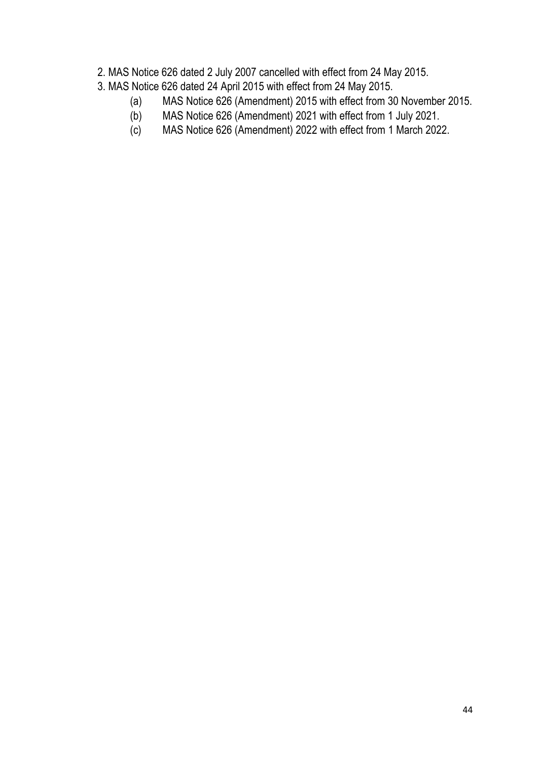- 2. MAS Notice 626 dated 2 July 2007 cancelled with effect from 24 May 2015.
- 3. MAS Notice 626 dated 24 April 2015 with effect from 24 May 2015.
	- (a) MAS Notice 626 (Amendment) 2015 with effect from 30 November 2015.
	- (b) MAS Notice 626 (Amendment) 2021 with effect from 1 July 2021.
	- (c) MAS Notice 626 (Amendment) 2022 with effect from 1 March 2022.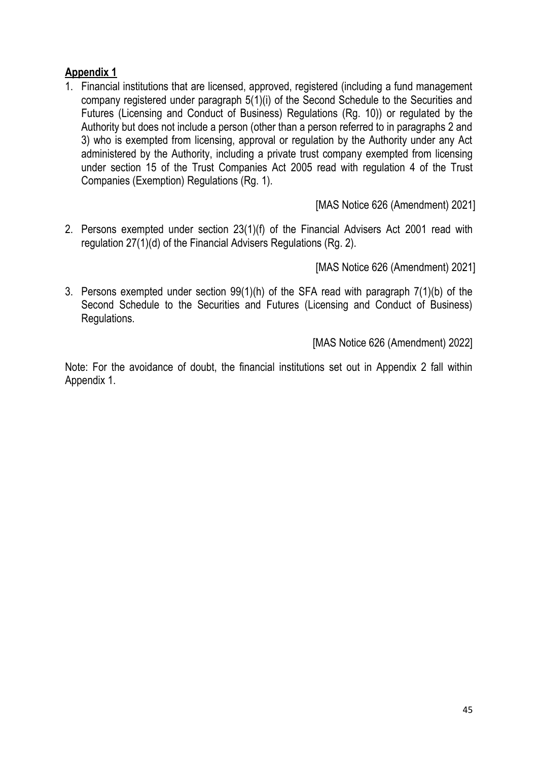# **Appendix 1**

1. Financial institutions that are licensed, approved, registered (including a fund management company registered under paragraph 5(1)(i) of the Second Schedule to the Securities and Futures (Licensing and Conduct of Business) Regulations (Rg. 10)) or regulated by the Authority but does not include a person (other than a person referred to in paragraphs 2 and 3) who is exempted from licensing, approval or regulation by the Authority under any Act administered by the Authority, including a private trust company exempted from licensing under section 15 of the Trust Companies Act 2005 read with regulation 4 of the Trust Companies (Exemption) Regulations (Rg. 1).

[MAS Notice 626 (Amendment) 2021]

2. Persons exempted under section 23(1)(f) of the Financial Advisers Act 2001 read with regulation 27(1)(d) of the Financial Advisers Regulations (Rg. 2).

[MAS Notice 626 (Amendment) 2021]

3. Persons exempted under section 99(1)(h) of the SFA read with paragraph 7(1)(b) of the Second Schedule to the Securities and Futures (Licensing and Conduct of Business) Regulations.

[MAS Notice 626 (Amendment) 2022]

Note: For the avoidance of doubt, the financial institutions set out in Appendix 2 fall within Appendix 1.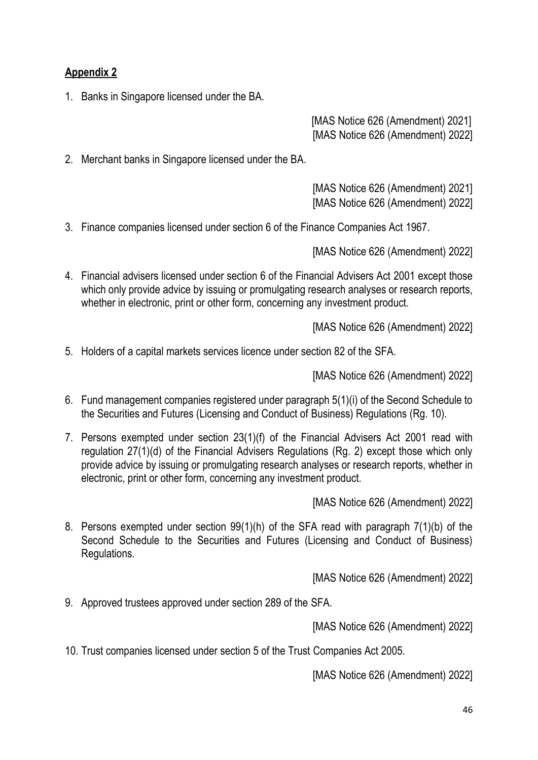# **Appendix 2**

1. Banks in Singapore licensed under the BA.

[MAS Notice 626 (Amendment) 2021] [MAS Notice 626 (Amendment) 2022]

2. Merchant banks in Singapore licensed under the BA.

[MAS Notice 626 (Amendment) 2021] [MAS Notice 626 (Amendment) 2022]

3. Finance companies licensed under section 6 of the Finance Companies Act 1967.

[MAS Notice 626 (Amendment) 2022]

4. Financial advisers licensed under section 6 of the Financial Advisers Act 2001 except those which only provide advice by issuing or promulgating research analyses or research reports, whether in electronic, print or other form, concerning any investment product.

[MAS Notice 626 (Amendment) 2022]

5. Holders of a capital markets services licence under section 82 of the SFA.

[MAS Notice 626 (Amendment) 2022]

- 6. Fund management companies registered under paragraph 5(1)(i) of the Second Schedule to the Securities and Futures (Licensing and Conduct of Business) Regulations (Rg. 10).
- 7. Persons exempted under section 23(1)(f) of the Financial Advisers Act 2001 read with regulation 27(1)(d) of the Financial Advisers Regulations (Rg. 2) except those which only provide advice by issuing or promulgating research analyses or research reports, whether in electronic, print or other form, concerning any investment product.

[MAS Notice 626 (Amendment) 2022]

8. Persons exempted under section 99(1)(h) of the SFA read with paragraph 7(1)(b) of the Second Schedule to the Securities and Futures (Licensing and Conduct of Business) Regulations.

[MAS Notice 626 (Amendment) 2022]

9. Approved trustees approved under section 289 of the SFA.

[MAS Notice 626 (Amendment) 2022]

10. Trust companies licensed under section 5 of the Trust Companies Act 2005.